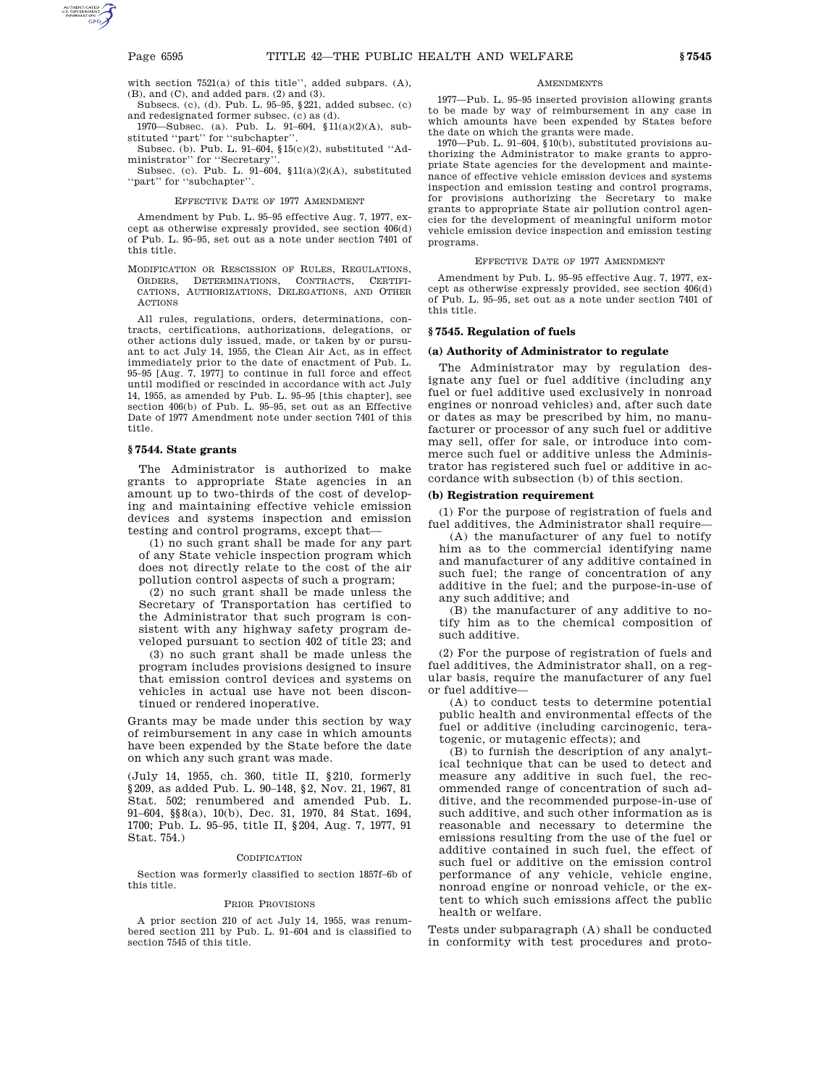with section 7521(a) of this title'', added subpars. (A), (B), and (C), and added pars. (2) and (3).

Subsecs. (c), (d). Pub. L. 95–95, §221, added subsec. (c) and redesignated former subsec. (c) as (d).

1970—Subsec. (a). Pub. L. 91–604, §11(a)(2)(A), substituted ''part'' for ''subchapter''.

Subsec. (b). Pub. L. 91–604,  $$15(c)(2)$ , substituted "Administrator'' for ''Secretary''.

Subsec. (c). Pub. L. 91–604,  $$11(a)(2)(A)$ , substituted ''part'' for ''subchapter''.

#### EFFECTIVE DATE OF 1977 AMENDMENT

Amendment by Pub. L. 95–95 effective Aug. 7, 1977, except as otherwise expressly provided, see section 406(d) of Pub. L. 95–95, set out as a note under section 7401 of this title.

MODIFICATION OR RESCISSION OF RULES, REGULATIONS ORDERS, DETERMINATIONS, CONTRACTS, CERTIFI-CATIONS, AUTHORIZATIONS, DELEGATIONS, AND OTHER **ACTIONS** 

All rules, regulations, orders, determinations, contracts, certifications, authorizations, delegations, or other actions duly issued, made, or taken by or pursuant to act July 14, 1955, the Clean Air Act, as in effect immediately prior to the date of enactment of Pub. L. 95–95 [Aug. 7, 1977] to continue in full force and effect until modified or rescinded in accordance with act July 14, 1955, as amended by Pub. L. 95–95 [this chapter], see section 406(b) of Pub. L. 95–95, set out as an Effective Date of 1977 Amendment note under section 7401 of this title.

### **§ 7544. State grants**

The Administrator is authorized to make grants to appropriate State agencies in an amount up to two-thirds of the cost of developing and maintaining effective vehicle emission devices and systems inspection and emission testing and control programs, except that—

(1) no such grant shall be made for any part of any State vehicle inspection program which does not directly relate to the cost of the air pollution control aspects of such a program;

(2) no such grant shall be made unless the Secretary of Transportation has certified to the Administrator that such program is consistent with any highway safety program developed pursuant to section 402 of title 23; and

(3) no such grant shall be made unless the program includes provisions designed to insure that emission control devices and systems on vehicles in actual use have not been discontinued or rendered inoperative.

Grants may be made under this section by way of reimbursement in any case in which amounts have been expended by the State before the date on which any such grant was made.

(July 14, 1955, ch. 360, title II, §210, formerly §209, as added Pub. L. 90–148, §2, Nov. 21, 1967, 81 Stat. 502; renumbered and amended Pub. L. 91–604, §§8(a), 10(b), Dec. 31, 1970, 84 Stat. 1694, 1700; Pub. L. 95–95, title II, §204, Aug. 7, 1977, 91 Stat. 754.)

#### **CODIFICATION**

Section was formerly classified to section 1857f–6b of this title.

#### PRIOR PROVISIONS

A prior section 210 of act July 14, 1955, was renumbered section 211 by Pub. L. 91–604 and is classified to section 7545 of this title.

#### **AMENDMENTS**

1977—Pub. L. 95–95 inserted provision allowing grants to be made by way of reimbursement in any case in which amounts have been expended by States before the date on which the grants were made.

1970—Pub. L. 91–604, §10(b), substituted provisions authorizing the Administrator to make grants to appropriate State agencies for the development and maintenance of effective vehicle emission devices and systems inspection and emission testing and control programs, for provisions authorizing the Secretary to make grants to appropriate State air pollution control agencies for the development of meaningful uniform motor vehicle emission device inspection and emission testing programs.

#### EFFECTIVE DATE OF 1977 AMENDMENT

Amendment by Pub. L. 95–95 effective Aug. 7, 1977, except as otherwise expressly provided, see section 406(d) of Pub. L. 95–95, set out as a note under section 7401 of this title.

#### **§ 7545. Regulation of fuels**

#### **(a) Authority of Administrator to regulate**

The Administrator may by regulation designate any fuel or fuel additive (including any fuel or fuel additive used exclusively in nonroad engines or nonroad vehicles) and, after such date or dates as may be prescribed by him, no manufacturer or processor of any such fuel or additive may sell, offer for sale, or introduce into commerce such fuel or additive unless the Administrator has registered such fuel or additive in accordance with subsection (b) of this section.

### **(b) Registration requirement**

(1) For the purpose of registration of fuels and fuel additives, the Administrator shall require—

(A) the manufacturer of any fuel to notify him as to the commercial identifying name and manufacturer of any additive contained in such fuel; the range of concentration of any additive in the fuel; and the purpose-in-use of any such additive; and

(B) the manufacturer of any additive to notify him as to the chemical composition of such additive.

(2) For the purpose of registration of fuels and fuel additives, the Administrator shall, on a regular basis, require the manufacturer of any fuel or fuel additive—

(A) to conduct tests to determine potential public health and environmental effects of the fuel or additive (including carcinogenic, teratogenic, or mutagenic effects); and

(B) to furnish the description of any analytical technique that can be used to detect and measure any additive in such fuel, the recommended range of concentration of such additive, and the recommended purpose-in-use of such additive, and such other information as is reasonable and necessary to determine the emissions resulting from the use of the fuel or additive contained in such fuel, the effect of such fuel or additive on the emission control performance of any vehicle, vehicle engine, nonroad engine or nonroad vehicle, or the extent to which such emissions affect the public health or welfare.

Tests under subparagraph (A) shall be conducted in conformity with test procedures and proto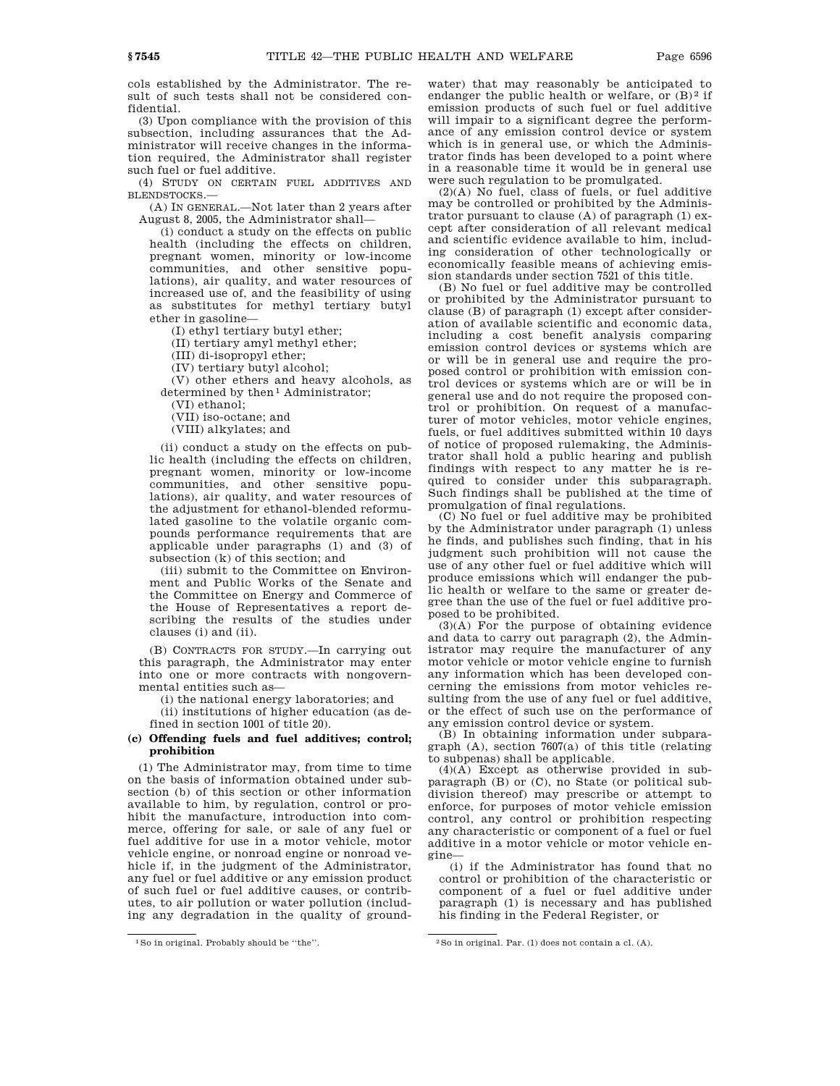cols established by the Administrator. The result of such tests shall not be considered confidential.

(3) Upon compliance with the provision of this subsection, including assurances that the Administrator will receive changes in the information required, the Administrator shall register such fuel or fuel additive.

(4) STUDY ON CERTAIN FUEL ADDITIVES AND BLENDSTOCKS.—

(A) IN GENERAL.—Not later than 2 years after August 8, 2005, the Administrator shall—

(i) conduct a study on the effects on public health (including the effects on children, pregnant women, minority or low-income communities, and other sensitive populations), air quality, and water resources of increased use of, and the feasibility of using as substitutes for methyl tertiary butyl ether in gasoline—

(I) ethyl tertiary butyl ether;

(II) tertiary amyl methyl ether;

(III) di-isopropyl ether;

(IV) tertiary butyl alcohol;

(V) other ethers and heavy alcohols, as determined by then<sup>1</sup> Administrator;

(VI) ethanol;

(VII) iso-octane; and (VIII) alkylates; and

(ii) conduct a study on the effects on public health (including the effects on children, pregnant women, minority or low-income communities, and other sensitive populations), air quality, and water resources of the adjustment for ethanol-blended reformulated gasoline to the volatile organic compounds performance requirements that are applicable under paragraphs (1) and (3) of subsection (k) of this section; and

(iii) submit to the Committee on Environment and Public Works of the Senate and the Committee on Energy and Commerce of the House of Representatives a report describing the results of the studies under clauses (i) and (ii).

(B) CONTRACTS FOR STUDY.—In carrying out this paragraph, the Administrator may enter into one or more contracts with nongovernmental entities such as—

(i) the national energy laboratories; and

(ii) institutions of higher education (as defined in section 1001 of title 20).

### **(c) Offending fuels and fuel additives; control; prohibition**

(1) The Administrator may, from time to time on the basis of information obtained under subsection (b) of this section or other information available to him, by regulation, control or prohibit the manufacture, introduction into commerce, offering for sale, or sale of any fuel or fuel additive for use in a motor vehicle, motor vehicle engine, or nonroad engine or nonroad vehicle if, in the judgment of the Administrator. any fuel or fuel additive or any emission product of such fuel or fuel additive causes, or contributes, to air pollution or water pollution (including any degradation in the quality of ground-

water) that may reasonably be anticipated to endanger the public health or welfare, or (B)<sup>2</sup> if emission products of such fuel or fuel additive will impair to a significant degree the performance of any emission control device or system which is in general use, or which the Administrator finds has been developed to a point where in a reasonable time it would be in general use were such regulation to be promulgated.

(2)(A) No fuel, class of fuels, or fuel additive may be controlled or prohibited by the Administrator pursuant to clause (A) of paragraph (1) except after consideration of all relevant medical and scientific evidence available to him, including consideration of other technologically or economically feasible means of achieving emission standards under section 7521 of this title.

(B) No fuel or fuel additive may be controlled or prohibited by the Administrator pursuant to clause (B) of paragraph (1) except after consideration of available scientific and economic data, including a cost benefit analysis comparing emission control devices or systems which are or will be in general use and require the proposed control or prohibition with emission control devices or systems which are or will be in general use and do not require the proposed control or prohibition. On request of a manufacturer of motor vehicles, motor vehicle engines, fuels, or fuel additives submitted within 10 days of notice of proposed rulemaking, the Administrator shall hold a public hearing and publish findings with respect to any matter he is required to consider under this subparagraph. Such findings shall be published at the time of promulgation of final regulations.

(C) No fuel or fuel additive may be prohibited by the Administrator under paragraph (1) unless he finds, and publishes such finding, that in his judgment such prohibition will not cause the use of any other fuel or fuel additive which will produce emissions which will endanger the public health or welfare to the same or greater degree than the use of the fuel or fuel additive proposed to be prohibited.

(3)(A) For the purpose of obtaining evidence and data to carry out paragraph (2), the Administrator may require the manufacturer of any motor vehicle or motor vehicle engine to furnish any information which has been developed concerning the emissions from motor vehicles resulting from the use of any fuel or fuel additive, or the effect of such use on the performance of any emission control device or system.

(B) In obtaining information under subparagraph (A), section 7607(a) of this title (relating to subpenas) shall be applicable.

 $(4)(\overline{A})$  Except as otherwise provided in subparagraph (B) or (C), no State (or political subdivision thereof) may prescribe or attempt to enforce, for purposes of motor vehicle emission control, any control or prohibition respecting any characteristic or component of a fuel or fuel additive in a motor vehicle or motor vehicle engine—

(i) if the Administrator has found that no control or prohibition of the characteristic or component of a fuel or fuel additive under paragraph (1) is necessary and has published his finding in the Federal Register, or

<sup>1</sup>So in original. Probably should be ''the''. 2So in original. Par. (1) does not contain a cl. (A).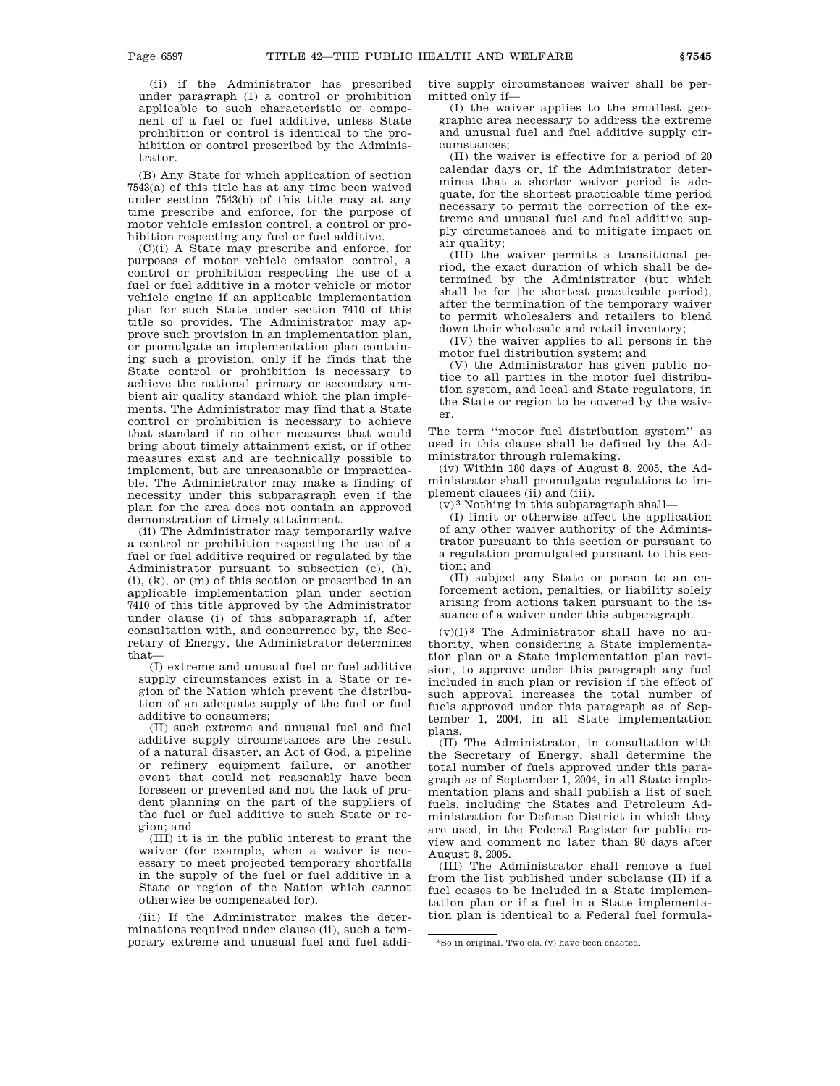(ii) if the Administrator has prescribed under paragraph (1) a control or prohibition applicable to such characteristic or component of a fuel or fuel additive, unless State prohibition or control is identical to the prohibition or control prescribed by the Administrator.

(B) Any State for which application of section 7543(a) of this title has at any time been waived under section 7543(b) of this title may at any time prescribe and enforce, for the purpose of motor vehicle emission control, a control or prohibition respecting any fuel or fuel additive.

(C)(i) A State may prescribe and enforce, for purposes of motor vehicle emission control, a control or prohibition respecting the use of a fuel or fuel additive in a motor vehicle or motor vehicle engine if an applicable implementation plan for such State under section 7410 of this title so provides. The Administrator may approve such provision in an implementation plan, or promulgate an implementation plan containing such a provision, only if he finds that the State control or prohibition is necessary to achieve the national primary or secondary ambient air quality standard which the plan implements. The Administrator may find that a State control or prohibition is necessary to achieve that standard if no other measures that would bring about timely attainment exist, or if other measures exist and are technically possible to implement, but are unreasonable or impracticable. The Administrator may make a finding of necessity under this subparagraph even if the plan for the area does not contain an approved demonstration of timely attainment.

(ii) The Administrator may temporarily waive a control or prohibition respecting the use of a fuel or fuel additive required or regulated by the Administrator pursuant to subsection (c), (h), (i), (k), or (m) of this section or prescribed in an applicable implementation plan under section 7410 of this title approved by the Administrator under clause (i) of this subparagraph if, after consultation with, and concurrence by, the Secretary of Energy, the Administrator determines that—

(I) extreme and unusual fuel or fuel additive supply circumstances exist in a State or region of the Nation which prevent the distribution of an adequate supply of the fuel or fuel additive to consumers;

(II) such extreme and unusual fuel and fuel additive supply circumstances are the result of a natural disaster, an Act of God, a pipeline or refinery equipment failure, or another event that could not reasonably have been foreseen or prevented and not the lack of prudent planning on the part of the suppliers of the fuel or fuel additive to such State or region; and

(III) it is in the public interest to grant the waiver (for example, when a waiver is necessary to meet projected temporary shortfalls in the supply of the fuel or fuel additive in a State or region of the Nation which cannot otherwise be compensated for).

(iii) If the Administrator makes the determinations required under clause (ii), such a temporary extreme and unusual fuel and fuel additive supply circumstances waiver shall be permitted only if—

(I) the waiver applies to the smallest geographic area necessary to address the extreme and unusual fuel and fuel additive supply circumstances;

(II) the waiver is effective for a period of 20 calendar days or, if the Administrator determines that a shorter waiver period is adequate, for the shortest practicable time period necessary to permit the correction of the extreme and unusual fuel and fuel additive supply circumstances and to mitigate impact on air quality;

(III) the waiver permits a transitional period, the exact duration of which shall be determined by the Administrator (but which shall be for the shortest practicable period), after the termination of the temporary waiver to permit wholesalers and retailers to blend down their wholesale and retail inventory;

(IV) the waiver applies to all persons in the motor fuel distribution system; and

(V) the Administrator has given public notice to all parties in the motor fuel distribution system, and local and State regulators, in the State or region to be covered by the waiver.

The term ''motor fuel distribution system'' as used in this clause shall be defined by the Administrator through rulemaking.

(iv) Within 180 days of August 8, 2005, the Administrator shall promulgate regulations to implement clauses (ii) and (iii).

 $(v)$ <sup>3</sup> Nothing in this subparagraph shall-

(I) limit or otherwise affect the application of any other waiver authority of the Administrator pursuant to this section or pursuant to a regulation promulgated pursuant to this section; and

(II) subject any State or person to an enforcement action, penalties, or liability solely arising from actions taken pursuant to the issuance of a waiver under this subparagraph.

 $(v)(I)^3$  The Administrator shall have no authority, when considering a State implementation plan or a State implementation plan revision, to approve under this paragraph any fuel included in such plan or revision if the effect of such approval increases the total number of fuels approved under this paragraph as of September 1, 2004, in all State implementation plans.

(II) The Administrator, in consultation with the Secretary of Energy, shall determine the total number of fuels approved under this paragraph as of September 1, 2004, in all State implementation plans and shall publish a list of such fuels, including the States and Petroleum Administration for Defense District in which they are used, in the Federal Register for public review and comment no later than 90 days after August 8, 2005.

(III) The Administrator shall remove a fuel from the list published under subclause (II) if a fuel ceases to be included in a State implementation plan or if a fuel in a State implementation plan is identical to a Federal fuel formula-

<sup>3</sup>So in original. Two cls. (v) have been enacted.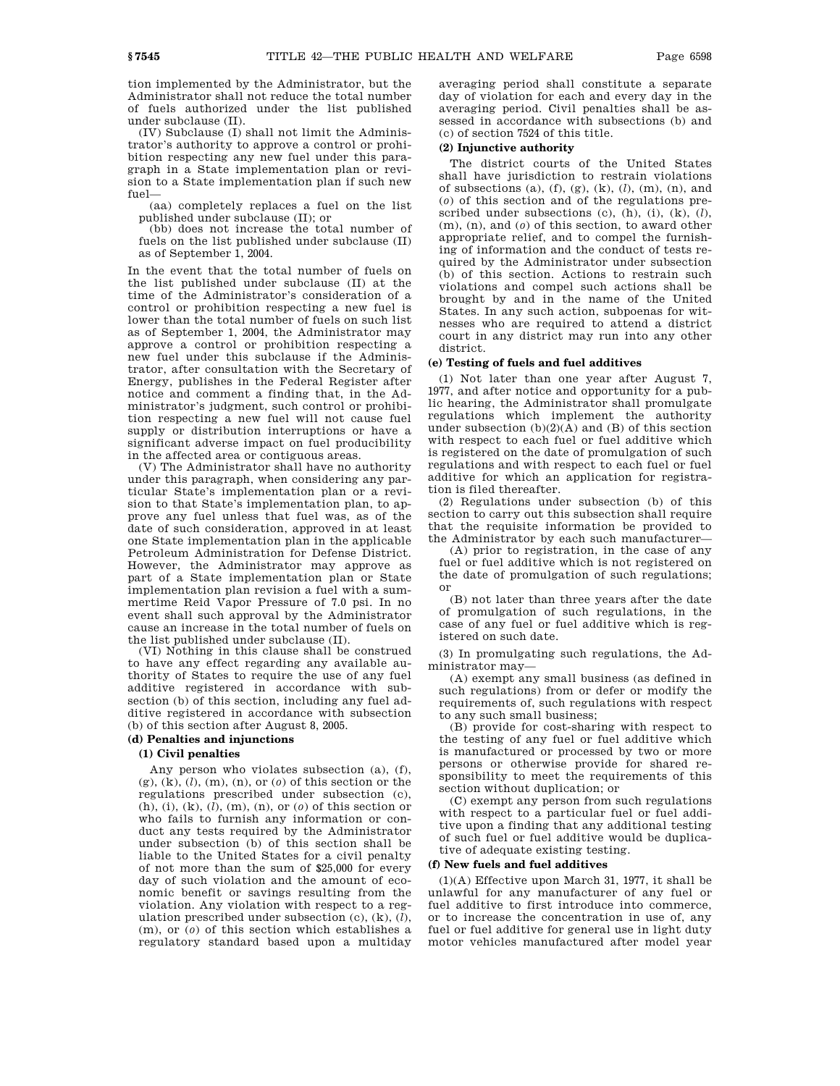tion implemented by the Administrator, but the Administrator shall not reduce the total number of fuels authorized under the list published under subclause (II).

(IV) Subclause (I) shall not limit the Administrator's authority to approve a control or prohibition respecting any new fuel under this paragraph in a State implementation plan or revision to a State implementation plan if such new fuel—

(aa) completely replaces a fuel on the list published under subclause (II); or

(bb) does not increase the total number of fuels on the list published under subclause (II) as of September 1, 2004.

In the event that the total number of fuels on the list published under subclause (II) at the time of the Administrator's consideration of a control or prohibition respecting a new fuel is lower than the total number of fuels on such list as of September 1, 2004, the Administrator may approve a control or prohibition respecting a new fuel under this subclause if the Administrator, after consultation with the Secretary of Energy, publishes in the Federal Register after notice and comment a finding that, in the Administrator's judgment, such control or prohibition respecting a new fuel will not cause fuel supply or distribution interruptions or have a significant adverse impact on fuel producibility in the affected area or contiguous areas.

(V) The Administrator shall have no authority under this paragraph, when considering any particular State's implementation plan or a revision to that State's implementation plan, to approve any fuel unless that fuel was, as of the date of such consideration, approved in at least one State implementation plan in the applicable Petroleum Administration for Defense District. However, the Administrator may approve as part of a State implementation plan or State implementation plan revision a fuel with a summertime Reid Vapor Pressure of 7.0 psi. In no event shall such approval by the Administrator cause an increase in the total number of fuels on the list published under subclause (II).

(VI) Nothing in this clause shall be construed to have any effect regarding any available authority of States to require the use of any fuel additive registered in accordance with subsection (b) of this section, including any fuel additive registered in accordance with subsection (b) of this section after August 8, 2005.

# **(d) Penalties and injunctions**

### **(1) Civil penalties**

Any person who violates subsection (a), (f), (g), (k), (*l*), (m), (n), or (*o*) of this section or the regulations prescribed under subsection (c), (h), (i), (k), (*l*), (m), (n), or (*o*) of this section or who fails to furnish any information or conduct any tests required by the Administrator under subsection (b) of this section shall be liable to the United States for a civil penalty of not more than the sum of \$25,000 for every day of such violation and the amount of economic benefit or savings resulting from the violation. Any violation with respect to a regulation prescribed under subsection (c), (k), (*l*), (m), or (*o*) of this section which establishes a regulatory standard based upon a multiday averaging period shall constitute a separate day of violation for each and every day in the averaging period. Civil penalties shall be assessed in accordance with subsections (b) and (c) of section 7524 of this title.

### **(2) Injunctive authority**

The district courts of the United States shall have jurisdiction to restrain violations of subsections (a), (f), (g), (k), (*l*), (m), (n), and (*o*) of this section and of the regulations prescribed under subsections (c), (h), (i), (k), (*l*), (m), (n), and (*o*) of this section, to award other appropriate relief, and to compel the furnishing of information and the conduct of tests required by the Administrator under subsection (b) of this section. Actions to restrain such violations and compel such actions shall be brought by and in the name of the United States. In any such action, subpoenas for witnesses who are required to attend a district court in any district may run into any other district.

#### **(e) Testing of fuels and fuel additives**

(1) Not later than one year after August 7, 1977, and after notice and opportunity for a public hearing, the Administrator shall promulgate regulations which implement the authority under subsection  $(b)(2)(\overline{A})$  and  $(B)$  of this section with respect to each fuel or fuel additive which is registered on the date of promulgation of such regulations and with respect to each fuel or fuel additive for which an application for registration is filed thereafter.

(2) Regulations under subsection (b) of this section to carry out this subsection shall require that the requisite information be provided to the Administrator by each such manufacturer—

(A) prior to registration, in the case of any fuel or fuel additive which is not registered on the date of promulgation of such regulations; or

(B) not later than three years after the date of promulgation of such regulations, in the case of any fuel or fuel additive which is registered on such date.

(3) In promulgating such regulations, the Administrator may—

(A) exempt any small business (as defined in such regulations) from or defer or modify the requirements of, such regulations with respect to any such small business;

(B) provide for cost-sharing with respect to the testing of any fuel or fuel additive which is manufactured or processed by two or more persons or otherwise provide for shared responsibility to meet the requirements of this section without duplication; or

(C) exempt any person from such regulations with respect to a particular fuel or fuel additive upon a finding that any additional testing of such fuel or fuel additive would be duplicative of adequate existing testing.

#### **(f) New fuels and fuel additives**

(1)(A) Effective upon March 31, 1977, it shall be unlawful for any manufacturer of any fuel or fuel additive to first introduce into commerce, or to increase the concentration in use of, any fuel or fuel additive for general use in light duty motor vehicles manufactured after model year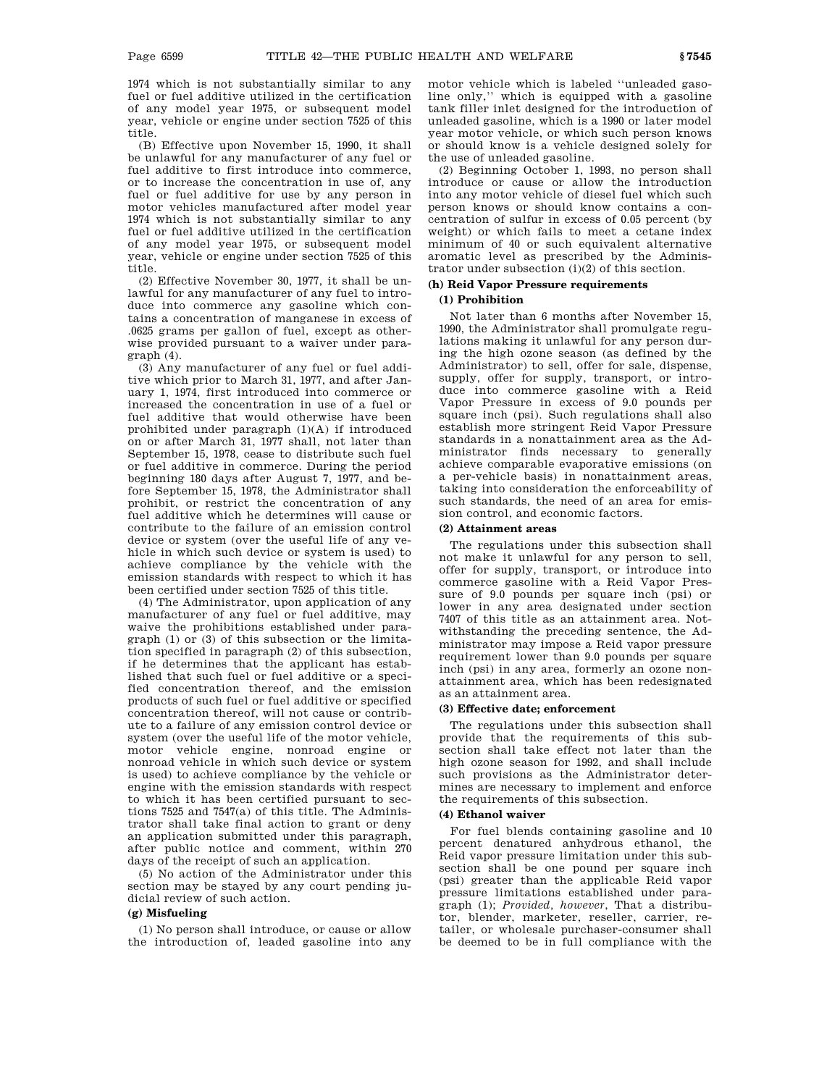1974 which is not substantially similar to any fuel or fuel additive utilized in the certification of any model year 1975, or subsequent model year, vehicle or engine under section 7525 of this title.

(B) Effective upon November 15, 1990, it shall be unlawful for any manufacturer of any fuel or fuel additive to first introduce into commerce, or to increase the concentration in use of, any fuel or fuel additive for use by any person in motor vehicles manufactured after model year 1974 which is not substantially similar to any fuel or fuel additive utilized in the certification of any model year 1975, or subsequent model year, vehicle or engine under section 7525 of this title.

(2) Effective November 30, 1977, it shall be unlawful for any manufacturer of any fuel to introduce into commerce any gasoline which contains a concentration of manganese in excess of .0625 grams per gallon of fuel, except as otherwise provided pursuant to a waiver under paragraph (4).

(3) Any manufacturer of any fuel or fuel additive which prior to March 31, 1977, and after January 1, 1974, first introduced into commerce or increased the concentration in use of a fuel or fuel additive that would otherwise have been prohibited under paragraph (1)(A) if introduced on or after March 31, 1977 shall, not later than September 15, 1978, cease to distribute such fuel or fuel additive in commerce. During the period beginning 180 days after August 7, 1977, and before September 15, 1978, the Administrator shall prohibit, or restrict the concentration of any fuel additive which he determines will cause or contribute to the failure of an emission control device or system (over the useful life of any vehicle in which such device or system is used) to achieve compliance by the vehicle with the emission standards with respect to which it has been certified under section 7525 of this title.

(4) The Administrator, upon application of any manufacturer of any fuel or fuel additive, may waive the prohibitions established under paragraph (1) or (3) of this subsection or the limitation specified in paragraph (2) of this subsection, if he determines that the applicant has established that such fuel or fuel additive or a specified concentration thereof, and the emission products of such fuel or fuel additive or specified concentration thereof, will not cause or contribute to a failure of any emission control device or system (over the useful life of the motor vehicle, motor vehicle engine, nonroad engine or nonroad vehicle in which such device or system is used) to achieve compliance by the vehicle or engine with the emission standards with respect to which it has been certified pursuant to sections 7525 and 7547(a) of this title. The Administrator shall take final action to grant or deny an application submitted under this paragraph, after public notice and comment, within 270 days of the receipt of such an application.

(5) No action of the Administrator under this section may be stayed by any court pending judicial review of such action.

#### **(g) Misfueling**

(1) No person shall introduce, or cause or allow the introduction of, leaded gasoline into any motor vehicle which is labeled ''unleaded gasoline only,'' which is equipped with a gasoline tank filler inlet designed for the introduction of unleaded gasoline, which is a 1990 or later model year motor vehicle, or which such person knows or should know is a vehicle designed solely for the use of unleaded gasoline.

(2) Beginning October 1, 1993, no person shall introduce or cause or allow the introduction into any motor vehicle of diesel fuel which such person knows or should know contains a concentration of sulfur in excess of 0.05 percent (by weight) or which fails to meet a cetane index minimum of 40 or such equivalent alternative aromatic level as prescribed by the Administrator under subsection (i)(2) of this section.

# **(h) Reid Vapor Pressure requirements**

# **(1) Prohibition**

Not later than 6 months after November 15, 1990, the Administrator shall promulgate regulations making it unlawful for any person during the high ozone season (as defined by the Administrator) to sell, offer for sale, dispense, supply, offer for supply, transport, or introduce into commerce gasoline with a Reid Vapor Pressure in excess of 9.0 pounds per square inch (psi). Such regulations shall also establish more stringent Reid Vapor Pressure standards in a nonattainment area as the Administrator finds necessary to generally achieve comparable evaporative emissions (on a per-vehicle basis) in nonattainment areas, taking into consideration the enforceability of such standards, the need of an area for emission control, and economic factors.

#### **(2) Attainment areas**

The regulations under this subsection shall not make it unlawful for any person to sell, offer for supply, transport, or introduce into commerce gasoline with a Reid Vapor Pressure of 9.0 pounds per square inch (psi) or lower in any area designated under section 7407 of this title as an attainment area. Notwithstanding the preceding sentence, the Administrator may impose a Reid vapor pressure requirement lower than 9.0 pounds per square inch (psi) in any area, formerly an ozone nonattainment area, which has been redesignated as an attainment area.

#### **(3) Effective date; enforcement**

The regulations under this subsection shall provide that the requirements of this subsection shall take effect not later than the high ozone season for 1992, and shall include such provisions as the Administrator determines are necessary to implement and enforce the requirements of this subsection.

#### **(4) Ethanol waiver**

For fuel blends containing gasoline and 10 percent denatured anhydrous ethanol, the Reid vapor pressure limitation under this subsection shall be one pound per square inch (psi) greater than the applicable Reid vapor pressure limitations established under paragraph (1); *Provided, however*, That a distributor, blender, marketer, reseller, carrier, retailer, or wholesale purchaser-consumer shall be deemed to be in full compliance with the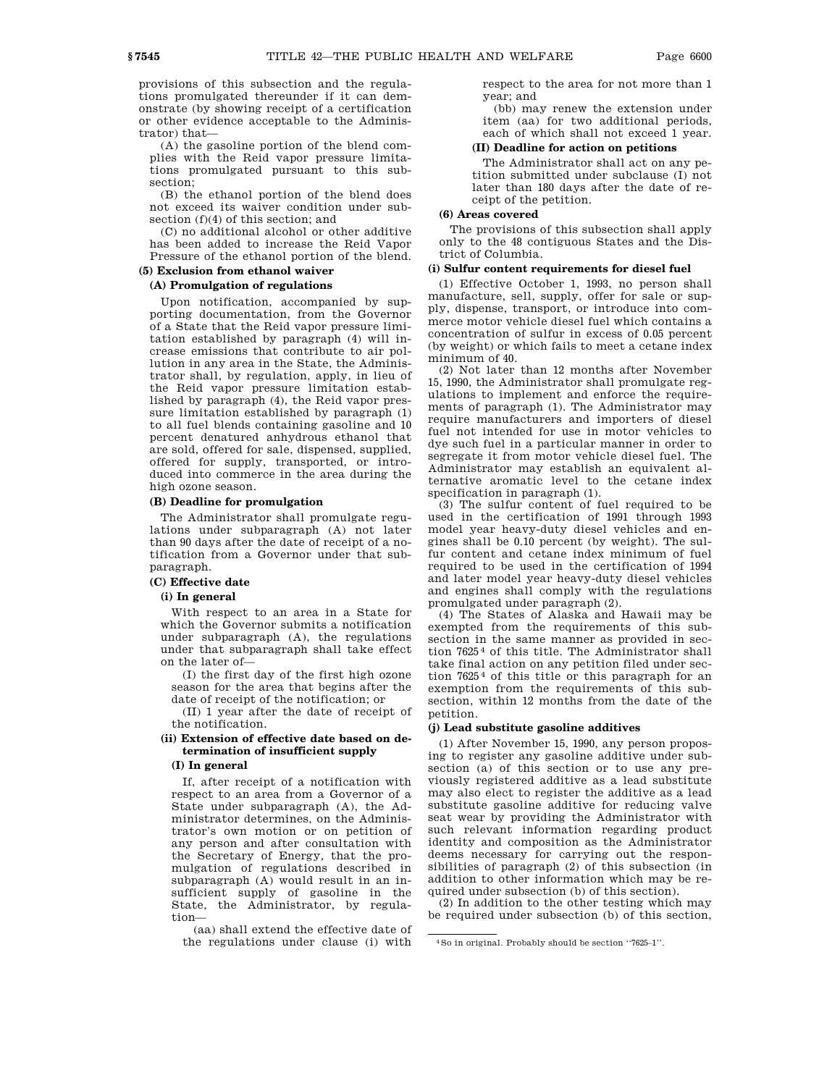provisions of this subsection and the regulations promulgated thereunder if it can demonstrate (by showing receipt of a certification or other evidence acceptable to the Administrator) that—

(A) the gasoline portion of the blend complies with the Reid vapor pressure limitations promulgated pursuant to this subsection;

(B) the ethanol portion of the blend does not exceed its waiver condition under subsection (f)(4) of this section; and

(C) no additional alcohol or other additive has been added to increase the Reid Vapor Pressure of the ethanol portion of the blend.

**(5) Exclusion from ethanol waiver**

### **(A) Promulgation of regulations**

Upon notification, accompanied by supporting documentation, from the Governor of a State that the Reid vapor pressure limitation established by paragraph (4) will increase emissions that contribute to air pollution in any area in the State, the Administrator shall, by regulation, apply, in lieu of the Reid vapor pressure limitation established by paragraph (4), the Reid vapor pressure limitation established by paragraph (1) to all fuel blends containing gasoline and 10 percent denatured anhydrous ethanol that are sold, offered for sale, dispensed, supplied, offered for supply, transported, or introduced into commerce in the area during the high ozone season.

### **(B) Deadline for promulgation**

The Administrator shall promulgate regulations under subparagraph (A) not later than 90 days after the date of receipt of a notification from a Governor under that subparagraph.

### **(C) Effective date**

#### **(i) In general**

With respect to an area in a State for which the Governor submits a notification under subparagraph (A), the regulations under that subparagraph shall take effect on the later of—

(I) the first day of the first high ozone season for the area that begins after the date of receipt of the notification; or

(II) 1 year after the date of receipt of the notification.

# **(ii) Extension of effective date based on determination of insufficient supply**

#### **(I) In general**

If, after receipt of a notification with respect to an area from a Governor of a State under subparagraph (A), the Administrator determines, on the Administrator's own motion or on petition of any person and after consultation with the Secretary of Energy, that the promulgation of regulations described in subparagraph (A) would result in an insufficient supply of gasoline in the State, the Administrator, by regulation—

(aa) shall extend the effective date of the regulations under clause (i) with

respect to the area for not more than 1 year; and

(bb) may renew the extension under item (aa) for two additional periods, each of which shall not exceed 1 year.

# **(II) Deadline for action on petitions**

The Administrator shall act on any petition submitted under subclause (I) not later than 180 days after the date of receipt of the petition.

#### **(6) Areas covered**

The provisions of this subsection shall apply only to the 48 contiguous States and the District of Columbia.

### **(i) Sulfur content requirements for diesel fuel**

(1) Effective October 1, 1993, no person shall manufacture, sell, supply, offer for sale or supply, dispense, transport, or introduce into commerce motor vehicle diesel fuel which contains a concentration of sulfur in excess of 0.05 percent (by weight) or which fails to meet a cetane index minimum of 40.

(2) Not later than 12 months after November 15, 1990, the Administrator shall promulgate regulations to implement and enforce the requirements of paragraph (1). The Administrator may require manufacturers and importers of diesel fuel not intended for use in motor vehicles to dye such fuel in a particular manner in order to segregate it from motor vehicle diesel fuel. The Administrator may establish an equivalent alternative aromatic level to the cetane index specification in paragraph (1).

(3) The sulfur content of fuel required to be used in the certification of 1991 through 1993 model year heavy-duty diesel vehicles and engines shall be 0.10 percent (by weight). The sulfur content and cetane index minimum of fuel required to be used in the certification of 1994 and later model year heavy-duty diesel vehicles and engines shall comply with the regulations promulgated under paragraph (2).

(4) The States of Alaska and Hawaii may be exempted from the requirements of this subsection in the same manner as provided in section 7625 4 of this title. The Administrator shall take final action on any petition filed under section 7625 4 of this title or this paragraph for an exemption from the requirements of this subsection, within 12 months from the date of the petition.

#### **(j) Lead substitute gasoline additives**

(1) After November 15, 1990, any person proposing to register any gasoline additive under subsection (a) of this section or to use any previously registered additive as a lead substitute may also elect to register the additive as a lead substitute gasoline additive for reducing valve seat wear by providing the Administrator with such relevant information regarding product identity and composition as the Administrator deems necessary for carrying out the responsibilities of paragraph (2) of this subsection (in addition to other information which may be required under subsection (b) of this section).

(2) In addition to the other testing which may be required under subsection (b) of this section,

<sup>4</sup>So in original. Probably should be section ''7625–1''.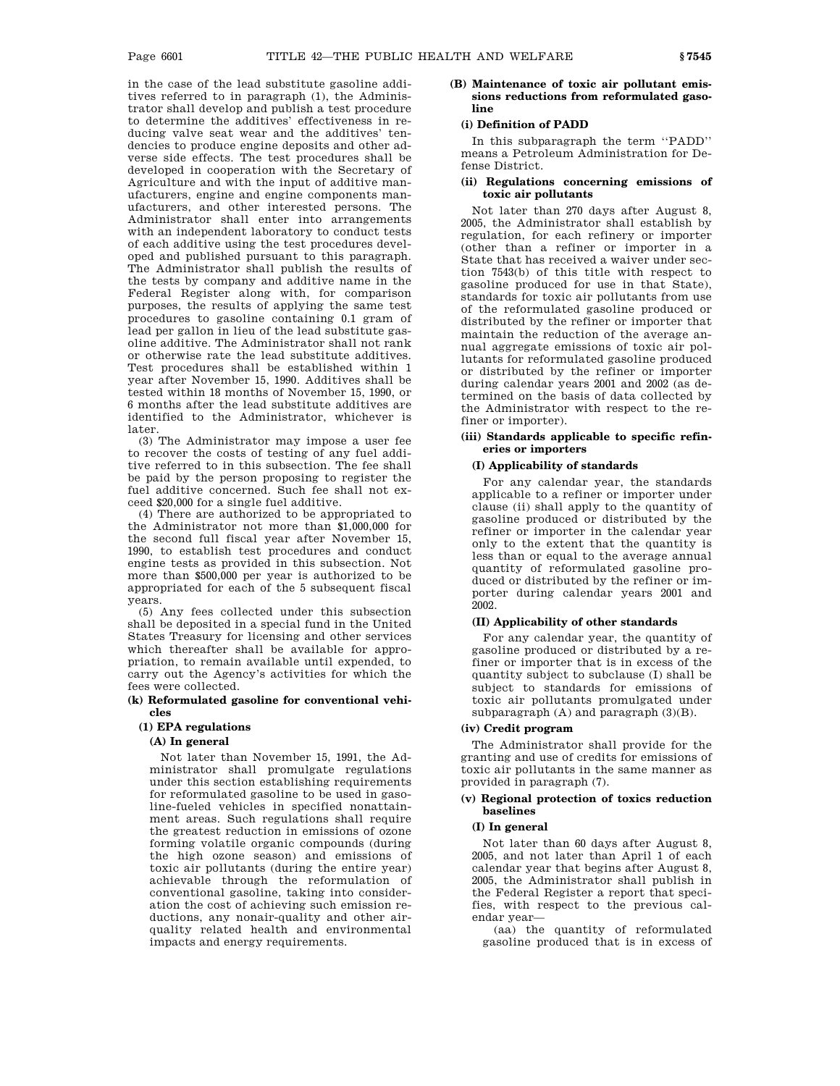in the case of the lead substitute gasoline additives referred to in paragraph (1), the Administrator shall develop and publish a test procedure to determine the additives' effectiveness in reducing valve seat wear and the additives' tendencies to produce engine deposits and other adverse side effects. The test procedures shall be developed in cooperation with the Secretary of Agriculture and with the input of additive manufacturers, engine and engine components manufacturers, and other interested persons. The Administrator shall enter into arrangements with an independent laboratory to conduct tests of each additive using the test procedures developed and published pursuant to this paragraph. The Administrator shall publish the results of the tests by company and additive name in the Federal Register along with, for comparison purposes, the results of applying the same test procedures to gasoline containing 0.1 gram of lead per gallon in lieu of the lead substitute gasoline additive. The Administrator shall not rank or otherwise rate the lead substitute additives. Test procedures shall be established within 1 year after November 15, 1990. Additives shall be tested within 18 months of November 15, 1990, or 6 months after the lead substitute additives are identified to the Administrator, whichever is later.

(3) The Administrator may impose a user fee to recover the costs of testing of any fuel additive referred to in this subsection. The fee shall be paid by the person proposing to register the fuel additive concerned. Such fee shall not exceed \$20,000 for a single fuel additive.

(4) There are authorized to be appropriated to the Administrator not more than \$1,000,000 for the second full fiscal year after November 15, 1990, to establish test procedures and conduct engine tests as provided in this subsection. Not more than \$500,000 per year is authorized to be appropriated for each of the 5 subsequent fiscal years.

(5) Any fees collected under this subsection shall be deposited in a special fund in the United States Treasury for licensing and other services which thereafter shall be available for appropriation, to remain available until expended, to carry out the Agency's activities for which the fees were collected.

### **(k) Reformulated gasoline for conventional vehicles**

#### **(1) EPA regulations**

#### **(A) In general**

Not later than November 15, 1991, the Administrator shall promulgate regulations under this section establishing requirements for reformulated gasoline to be used in gasoline-fueled vehicles in specified nonattainment areas. Such regulations shall require the greatest reduction in emissions of ozone forming volatile organic compounds (during the high ozone season) and emissions of toxic air pollutants (during the entire year) achievable through the reformulation of conventional gasoline, taking into consideration the cost of achieving such emission reductions, any nonair-quality and other airquality related health and environmental impacts and energy requirements.

#### **(B) Maintenance of toxic air pollutant emissions reductions from reformulated gasoline**

#### **(i) Definition of PADD**

In this subparagraph the term ''PADD'' means a Petroleum Administration for Defense District.

### **(ii) Regulations concerning emissions of toxic air pollutants**

Not later than 270 days after August 8, 2005, the Administrator shall establish by regulation, for each refinery or importer (other than a refiner or importer in a State that has received a waiver under section 7543(b) of this title with respect to gasoline produced for use in that State), standards for toxic air pollutants from use of the reformulated gasoline produced or distributed by the refiner or importer that maintain the reduction of the average annual aggregate emissions of toxic air pollutants for reformulated gasoline produced or distributed by the refiner or importer during calendar years 2001 and 2002 (as determined on the basis of data collected by the Administrator with respect to the refiner or importer).

### **(iii) Standards applicable to specific refineries or importers**

### **(I) Applicability of standards**

For any calendar year, the standards applicable to a refiner or importer under clause (ii) shall apply to the quantity of gasoline produced or distributed by the refiner or importer in the calendar year only to the extent that the quantity is less than or equal to the average annual quantity of reformulated gasoline produced or distributed by the refiner or importer during calendar years 2001 and 2002.

#### **(II) Applicability of other standards**

For any calendar year, the quantity of gasoline produced or distributed by a refiner or importer that is in excess of the quantity subject to subclause (I) shall be subject to standards for emissions of toxic air pollutants promulgated under subparagraph  $(A)$  and paragraph  $(3)(B)$ .

#### **(iv) Credit program**

The Administrator shall provide for the granting and use of credits for emissions of toxic air pollutants in the same manner as provided in paragraph (7).

### **(v) Regional protection of toxics reduction baselines**

### **(I) In general**

Not later than 60 days after August 8, 2005, and not later than April 1 of each calendar year that begins after August 8, 2005, the Administrator shall publish in the Federal Register a report that specifies, with respect to the previous calendar year—

(aa) the quantity of reformulated gasoline produced that is in excess of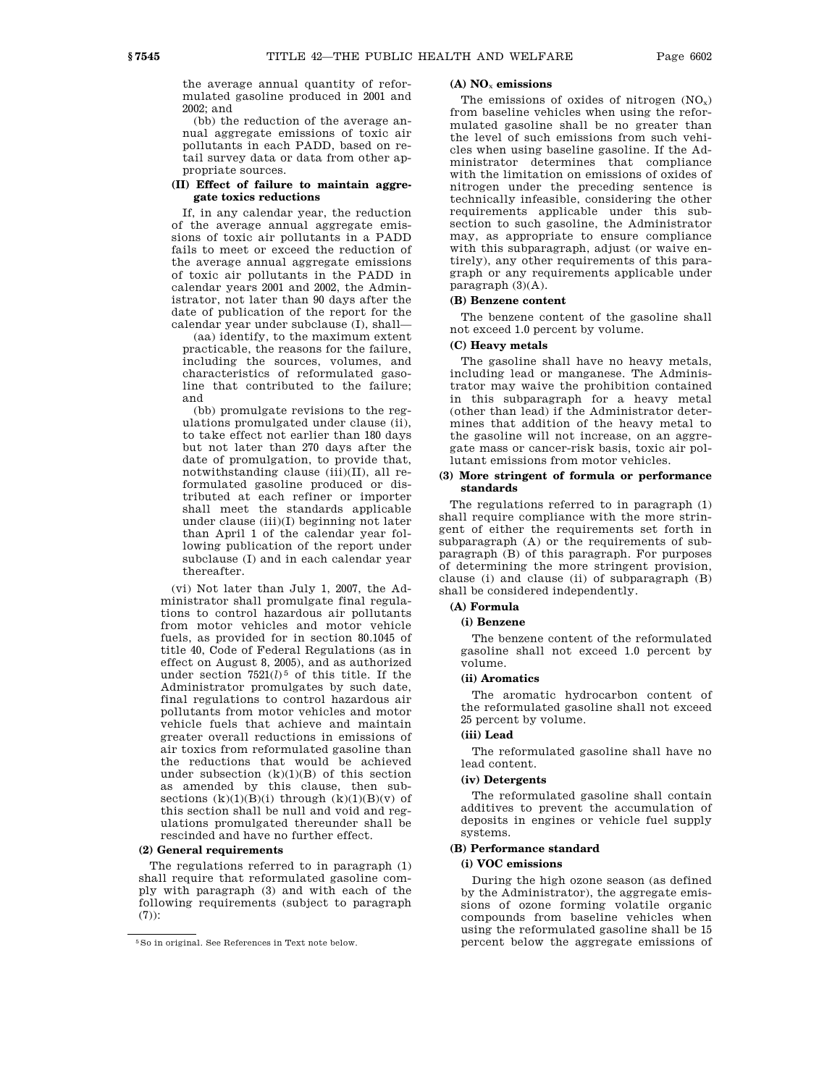the average annual quantity of reformulated gasoline produced in 2001 and 2002; and

(bb) the reduction of the average annual aggregate emissions of toxic air pollutants in each PADD, based on retail survey data or data from other appropriate sources.

### **(II) Effect of failure to maintain aggregate toxics reductions**

If, in any calendar year, the reduction of the average annual aggregate emissions of toxic air pollutants in a PADD fails to meet or exceed the reduction of the average annual aggregate emissions of toxic air pollutants in the PADD in calendar years 2001 and 2002, the Administrator, not later than 90 days after the date of publication of the report for the calendar year under subclause (I), shall—

(aa) identify, to the maximum extent practicable, the reasons for the failure, including the sources, volumes, and characteristics of reformulated gasoline that contributed to the failure; and

(bb) promulgate revisions to the regulations promulgated under clause (ii), to take effect not earlier than 180 days but not later than 270 days after the date of promulgation, to provide that, notwithstanding clause (iii)(II), all reformulated gasoline produced or distributed at each refiner or importer shall meet the standards applicable under clause (iii)(I) beginning not later than April 1 of the calendar year following publication of the report under subclause (I) and in each calendar year thereafter.

(vi) Not later than July 1, 2007, the Administrator shall promulgate final regulations to control hazardous air pollutants from motor vehicles and motor vehicle fuels, as provided for in section 80.1045 of title 40, Code of Federal Regulations (as in effect on August 8, 2005), and as authorized under section 7521(*l*) 5 of this title. If the Administrator promulgates by such date, final regulations to control hazardous air pollutants from motor vehicles and motor vehicle fuels that achieve and maintain greater overall reductions in emissions of air toxics from reformulated gasoline than the reductions that would be achieved under subsection  $(k)(1)(B)$  of this section as amended by this clause, then subsections  $(k)(1)(B)(i)$  through  $(k)(1)(B)(v)$  of this section shall be null and void and regulations promulgated thereunder shall be rescinded and have no further effect.

### **(2) General requirements**

The regulations referred to in paragraph (1) shall require that reformulated gasoline comply with paragraph (3) and with each of the following requirements (subject to paragraph (7)):

### **(A) NO**x **emissions**

The emissions of oxides of nitrogen  $(NO<sub>x</sub>)$ from baseline vehicles when using the reformulated gasoline shall be no greater than the level of such emissions from such vehicles when using baseline gasoline. If the Administrator determines that compliance with the limitation on emissions of oxides of nitrogen under the preceding sentence is technically infeasible, considering the other requirements applicable under this subsection to such gasoline, the Administrator may, as appropriate to ensure compliance with this subparagraph, adjust (or waive entirely), any other requirements of this paragraph or any requirements applicable under paragraph (3)(A).

### **(B) Benzene content**

The benzene content of the gasoline shall not exceed 1.0 percent by volume.

### **(C) Heavy metals**

The gasoline shall have no heavy metals, including lead or manganese. The Administrator may waive the prohibition contained in this subparagraph for a heavy metal (other than lead) if the Administrator determines that addition of the heavy metal to the gasoline will not increase, on an aggregate mass or cancer-risk basis, toxic air pollutant emissions from motor vehicles.

### **(3) More stringent of formula or performance standards**

The regulations referred to in paragraph (1) shall require compliance with the more stringent of either the requirements set forth in subparagraph (A) or the requirements of subparagraph (B) of this paragraph. For purposes of determining the more stringent provision, clause (i) and clause (ii) of subparagraph (B) shall be considered independently.

#### **(A) Formula**

#### **(i) Benzene**

The benzene content of the reformulated gasoline shall not exceed 1.0 percent by volume.

#### **(ii) Aromatics**

The aromatic hydrocarbon content of the reformulated gasoline shall not exceed 25 percent by volume.

# **(iii) Lead**

The reformulated gasoline shall have no lead content.

#### **(iv) Detergents**

The reformulated gasoline shall contain additives to prevent the accumulation of deposits in engines or vehicle fuel supply systems.

# **(B) Performance standard**

#### **(i) VOC emissions**

During the high ozone season (as defined by the Administrator), the aggregate emissions of ozone forming volatile organic compounds from baseline vehicles when using the reformulated gasoline shall be 15 percent below the aggregate emissions of

<sup>5</sup>So in original. See References in Text note below.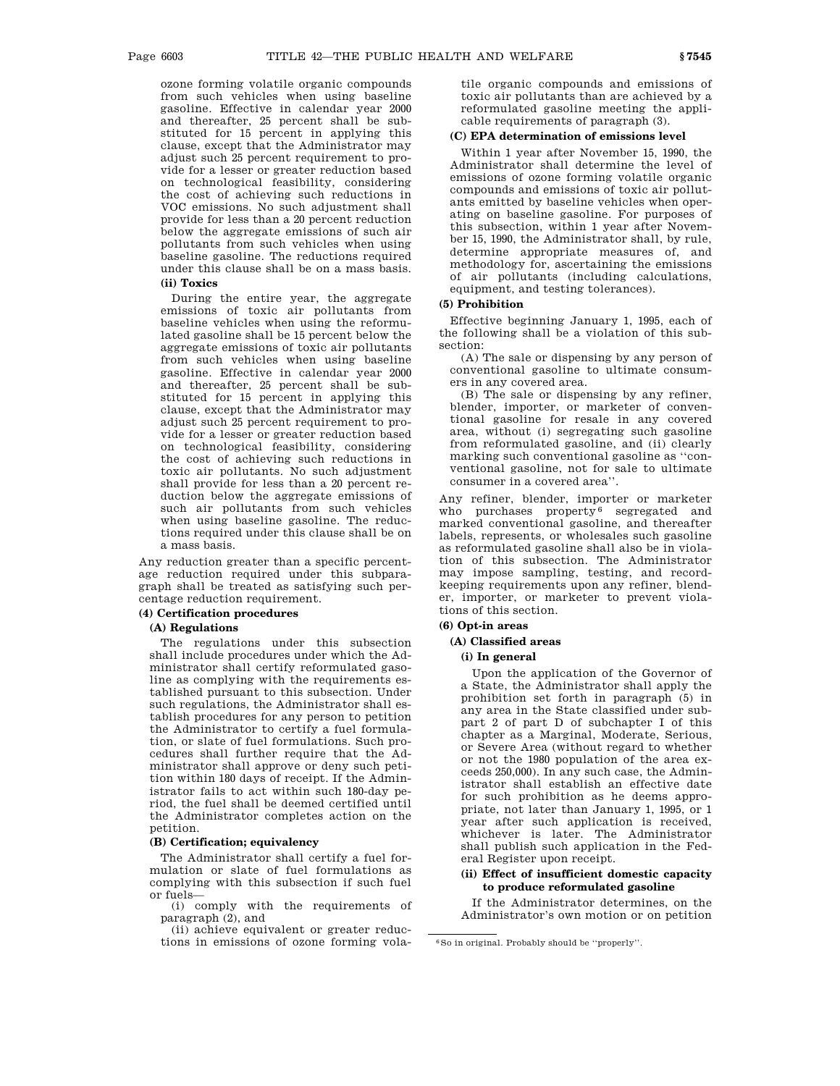ozone forming volatile organic compounds from such vehicles when using baseline gasoline. Effective in calendar year 2000 and thereafter, 25 percent shall be substituted for 15 percent in applying this clause, except that the Administrator may adjust such 25 percent requirement to provide for a lesser or greater reduction based on technological feasibility, considering the cost of achieving such reductions in VOC emissions. No such adjustment shall provide for less than a 20 percent reduction below the aggregate emissions of such air pollutants from such vehicles when using baseline gasoline. The reductions required under this clause shall be on a mass basis.

# **(ii) Toxics**

During the entire year, the aggregate emissions of toxic air pollutants from baseline vehicles when using the reformulated gasoline shall be 15 percent below the aggregate emissions of toxic air pollutants from such vehicles when using baseline gasoline. Effective in calendar year 2000 and thereafter, 25 percent shall be substituted for 15 percent in applying this clause, except that the Administrator may adjust such 25 percent requirement to provide for a lesser or greater reduction based on technological feasibility, considering the cost of achieving such reductions in toxic air pollutants. No such adjustment shall provide for less than a 20 percent reduction below the aggregate emissions of such air pollutants from such vehicles when using baseline gasoline. The reductions required under this clause shall be on a mass basis.

Any reduction greater than a specific percentage reduction required under this subparagraph shall be treated as satisfying such percentage reduction requirement.

#### **(4) Certification procedures**

#### **(A) Regulations**

The regulations under this subsection shall include procedures under which the Administrator shall certify reformulated gasoline as complying with the requirements established pursuant to this subsection. Under such regulations, the Administrator shall establish procedures for any person to petition the Administrator to certify a fuel formulation, or slate of fuel formulations. Such procedures shall further require that the Administrator shall approve or deny such petition within 180 days of receipt. If the Administrator fails to act within such 180-day period, the fuel shall be deemed certified until the Administrator completes action on the petition.

# **(B) Certification; equivalency**

The Administrator shall certify a fuel formulation or slate of fuel formulations as complying with this subsection if such fuel or fuels—

(i) comply with the requirements of paragraph (2), and

(ii) achieve equivalent or greater reductions in emissions of ozone forming volatile organic compounds and emissions of toxic air pollutants than are achieved by a reformulated gasoline meeting the applicable requirements of paragraph (3).

#### **(C) EPA determination of emissions level**

Within 1 year after November 15, 1990, the Administrator shall determine the level of emissions of ozone forming volatile organic compounds and emissions of toxic air pollutants emitted by baseline vehicles when operating on baseline gasoline. For purposes of this subsection, within 1 year after November 15, 1990, the Administrator shall, by rule, determine appropriate measures of, and methodology for, ascertaining the emissions of air pollutants (including calculations, equipment, and testing tolerances).

### **(5) Prohibition**

Effective beginning January 1, 1995, each of the following shall be a violation of this subsection:

(A) The sale or dispensing by any person of conventional gasoline to ultimate consumers in any covered area.

(B) The sale or dispensing by any refiner, blender, importer, or marketer of conventional gasoline for resale in any covered area, without (i) segregating such gasoline from reformulated gasoline, and (ii) clearly marking such conventional gasoline as ''conventional gasoline, not for sale to ultimate consumer in a covered area''.

Any refiner, blender, importer or marketer who purchases property<sup>6</sup> segregated and marked conventional gasoline, and thereafter labels, represents, or wholesales such gasoline as reformulated gasoline shall also be in violation of this subsection. The Administrator may impose sampling, testing, and recordkeeping requirements upon any refiner, blender, importer, or marketer to prevent violations of this section.

### **(6) Opt-in areas**

#### **(A) Classified areas**

#### **(i) In general**

Upon the application of the Governor of a State, the Administrator shall apply the prohibition set forth in paragraph (5) in any area in the State classified under subpart 2 of part D of subchapter I of this chapter as a Marginal, Moderate, Serious, or Severe Area (without regard to whether or not the 1980 population of the area exceeds 250,000). In any such case, the Administrator shall establish an effective date for such prohibition as he deems appropriate, not later than January 1, 1995, or 1 year after such application is received, whichever is later. The Administrator shall publish such application in the Federal Register upon receipt.

### **(ii) Effect of insufficient domestic capacity to produce reformulated gasoline**

If the Administrator determines, on the Administrator's own motion or on petition

<sup>6</sup>So in original. Probably should be ''properly''.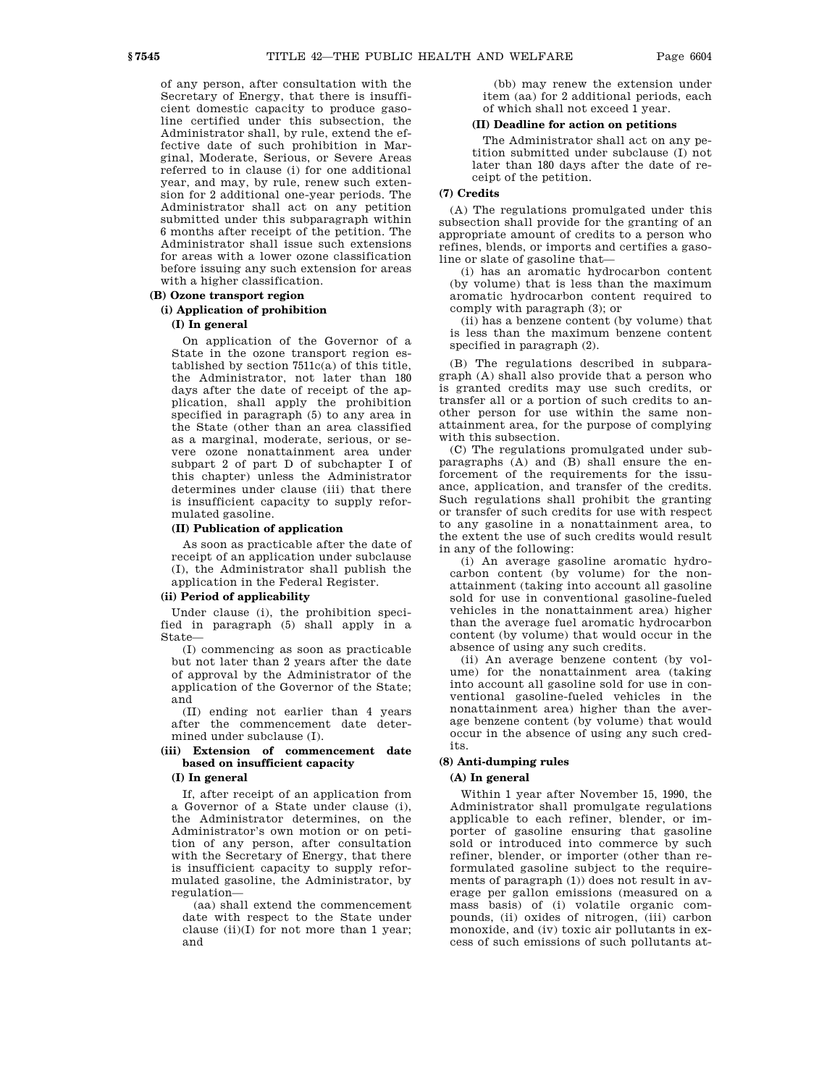of any person, after consultation with the Secretary of Energy, that there is insufficient domestic capacity to produce gasoline certified under this subsection, the Administrator shall, by rule, extend the effective date of such prohibition in Marginal, Moderate, Serious, or Severe Areas referred to in clause (i) for one additional year, and may, by rule, renew such extension for 2 additional one-year periods. The Administrator shall act on any petition submitted under this subparagraph within 6 months after receipt of the petition. The Administrator shall issue such extensions for areas with a lower ozone classification before issuing any such extension for areas with a higher classification.

#### **(B) Ozone transport region**

# **(i) Application of prohibition**

# **(I) In general**

On application of the Governor of a State in the ozone transport region established by section 7511c(a) of this title, the Administrator, not later than 180 days after the date of receipt of the application, shall apply the prohibition specified in paragraph (5) to any area in the State (other than an area classified as a marginal, moderate, serious, or severe ozone nonattainment area under subpart 2 of part D of subchapter I of this chapter) unless the Administrator determines under clause (iii) that there is insufficient capacity to supply reformulated gasoline.

### **(II) Publication of application**

As soon as practicable after the date of receipt of an application under subclause (I), the Administrator shall publish the application in the Federal Register.

#### **(ii) Period of applicability**

Under clause (i), the prohibition specified in paragraph (5) shall apply in a State—

(I) commencing as soon as practicable but not later than 2 years after the date of approval by the Administrator of the application of the Governor of the State; and

(II) ending not earlier than 4 years after the commencement date determined under subclause (I).

# **(iii) Extension of commencement date based on insufficient capacity**

### **(I) In general**

If, after receipt of an application from a Governor of a State under clause (i), the Administrator determines, on the Administrator's own motion or on petition of any person, after consultation with the Secretary of Energy, that there is insufficient capacity to supply reformulated gasoline, the Administrator, by regulation—

(aa) shall extend the commencement date with respect to the State under clause (ii)(I) for not more than 1 year; and

(bb) may renew the extension under item (aa) for 2 additional periods, each of which shall not exceed 1 year.

#### **(II) Deadline for action on petitions**

The Administrator shall act on any petition submitted under subclause (I) not later than 180 days after the date of receipt of the petition.

### **(7) Credits**

(A) The regulations promulgated under this subsection shall provide for the granting of an appropriate amount of credits to a person who refines, blends, or imports and certifies a gasoline or slate of gasoline that—

(i) has an aromatic hydrocarbon content (by volume) that is less than the maximum aromatic hydrocarbon content required to comply with paragraph (3); or

(ii) has a benzene content (by volume) that is less than the maximum benzene content specified in paragraph (2).

(B) The regulations described in subparagraph (A) shall also provide that a person who is granted credits may use such credits, or transfer all or a portion of such credits to another person for use within the same nonattainment area, for the purpose of complying with this subsection.

(C) The regulations promulgated under subparagraphs (A) and (B) shall ensure the enforcement of the requirements for the issuance, application, and transfer of the credits. Such regulations shall prohibit the granting or transfer of such credits for use with respect to any gasoline in a nonattainment area, to the extent the use of such credits would result in any of the following:

(i) An average gasoline aromatic hydrocarbon content (by volume) for the nonattainment (taking into account all gasoline sold for use in conventional gasoline-fueled vehicles in the nonattainment area) higher than the average fuel aromatic hydrocarbon content (by volume) that would occur in the absence of using any such credits.

(ii) An average benzene content (by volume) for the nonattainment area (taking into account all gasoline sold for use in conventional gasoline-fueled vehicles in the nonattainment area) higher than the average benzene content (by volume) that would occur in the absence of using any such credits.

#### **(8) Anti-dumping rules**

### **(A) In general**

Within 1 year after November 15, 1990, the Administrator shall promulgate regulations applicable to each refiner, blender, or importer of gasoline ensuring that gasoline sold or introduced into commerce by such refiner, blender, or importer (other than reformulated gasoline subject to the requirements of paragraph (1)) does not result in average per gallon emissions (measured on a mass basis) of (i) volatile organic compounds, (ii) oxides of nitrogen, (iii) carbon monoxide, and (iv) toxic air pollutants in excess of such emissions of such pollutants at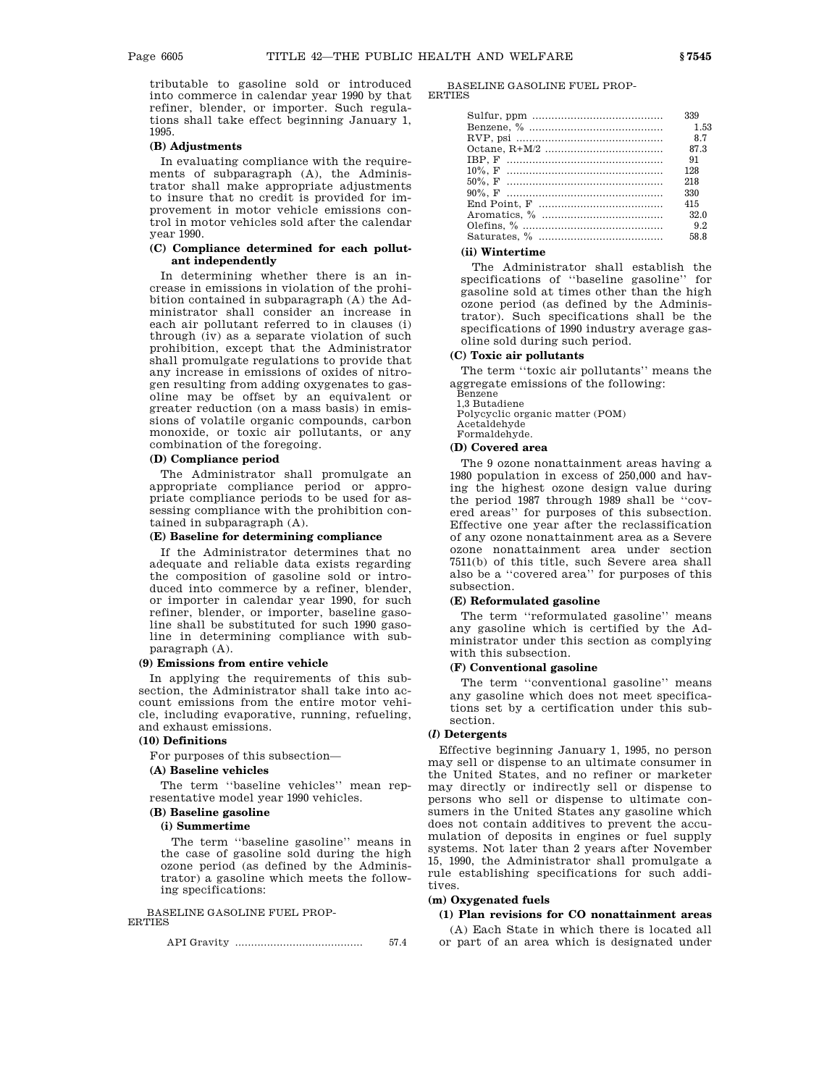tributable to gasoline sold or introduced into commerce in calendar year 1990 by that refiner, blender, or importer. Such regulations shall take effect beginning January 1, 1995.

# **(B) Adjustments**

In evaluating compliance with the requirements of subparagraph (A), the Administrator shall make appropriate adjustments to insure that no credit is provided for improvement in motor vehicle emissions control in motor vehicles sold after the calendar year 1990.

### **(C) Compliance determined for each pollutant independently**

In determining whether there is an increase in emissions in violation of the prohibition contained in subparagraph (A) the Administrator shall consider an increase in each air pollutant referred to in clauses (i) through (iv) as a separate violation of such prohibition, except that the Administrator shall promulgate regulations to provide that any increase in emissions of oxides of nitrogen resulting from adding oxygenates to gasoline may be offset by an equivalent or greater reduction (on a mass basis) in emissions of volatile organic compounds, carbon monoxide, or toxic air pollutants, or any combination of the foregoing.

# **(D) Compliance period**

The Administrator shall promulgate an appropriate compliance period or appropriate compliance periods to be used for assessing compliance with the prohibition contained in subparagraph (A).

### **(E) Baseline for determining compliance**

If the Administrator determines that no adequate and reliable data exists regarding the composition of gasoline sold or introduced into commerce by a refiner, blender, or importer in calendar year 1990, for such refiner, blender, or importer, baseline gasoline shall be substituted for such 1990 gasoline in determining compliance with subparagraph (A).

#### **(9) Emissions from entire vehicle**

In applying the requirements of this subsection, the Administrator shall take into account emissions from the entire motor vehicle, including evaporative, running, refueling, and exhaust emissions.

#### **(10) Definitions**

For purposes of this subsection—

### **(A) Baseline vehicles**

The term ''baseline vehicles'' mean representative model year 1990 vehicles.

# **(B) Baseline gasoline**

# **(i) Summertime**

The term ''baseline gasoline'' means in the case of gasoline sold during the high ozone period (as defined by the Administrator) a gasoline which meets the following specifications:

BASELINE GASOLINE FUEL PROP-

ERTIES

| 57.4 |  |
|------|--|
|------|--|

BASELINE GASOLINE FUEL PROP-**ERTIES** 

| 339  |
|------|
| 1.53 |
| 8.7  |
| 87.3 |
| 91   |
| 128  |
| 218  |
| 330  |
| 415  |
| 32.0 |
| 92   |
| 58.8 |
|      |

### **(ii) Wintertime**

The Administrator shall establish the specifications of ''baseline gasoline'' for gasoline sold at times other than the high ozone period (as defined by the Administrator). Such specifications shall be the specifications of 1990 industry average gasoline sold during such period.

#### **(C) Toxic air pollutants**

The term ''toxic air pollutants'' means the aggregate emissions of the following:

Benzene 1,3 Butadiene

Polycyclic organic matter (POM) Acetaldehyde

Formaldehyde.

#### **(D) Covered area**

The 9 ozone nonattainment areas having a 1980 population in excess of 250,000 and having the highest ozone design value during the period 1987 through 1989 shall be ''covered areas'' for purposes of this subsection. Effective one year after the reclassification of any ozone nonattainment area as a Severe ozone nonattainment area under section 7511(b) of this title, such Severe area shall also be a ''covered area'' for purposes of this subsection.

### **(E) Reformulated gasoline**

The term ''reformulated gasoline'' means any gasoline which is certified by the Administrator under this section as complying with this subsection.

#### **(F) Conventional gasoline**

The term ''conventional gasoline'' means any gasoline which does not meet specifications set by a certification under this subsection.

#### **(***l***) Detergents**

Effective beginning January 1, 1995, no person may sell or dispense to an ultimate consumer in the United States, and no refiner or marketer may directly or indirectly sell or dispense to persons who sell or dispense to ultimate consumers in the United States any gasoline which does not contain additives to prevent the accumulation of deposits in engines or fuel supply systems. Not later than 2 years after November 15, 1990, the Administrator shall promulgate a rule establishing specifications for such additives.

#### **(m) Oxygenated fuels**

#### **(1) Plan revisions for CO nonattainment areas**

(A) Each State in which there is located all or part of an area which is designated under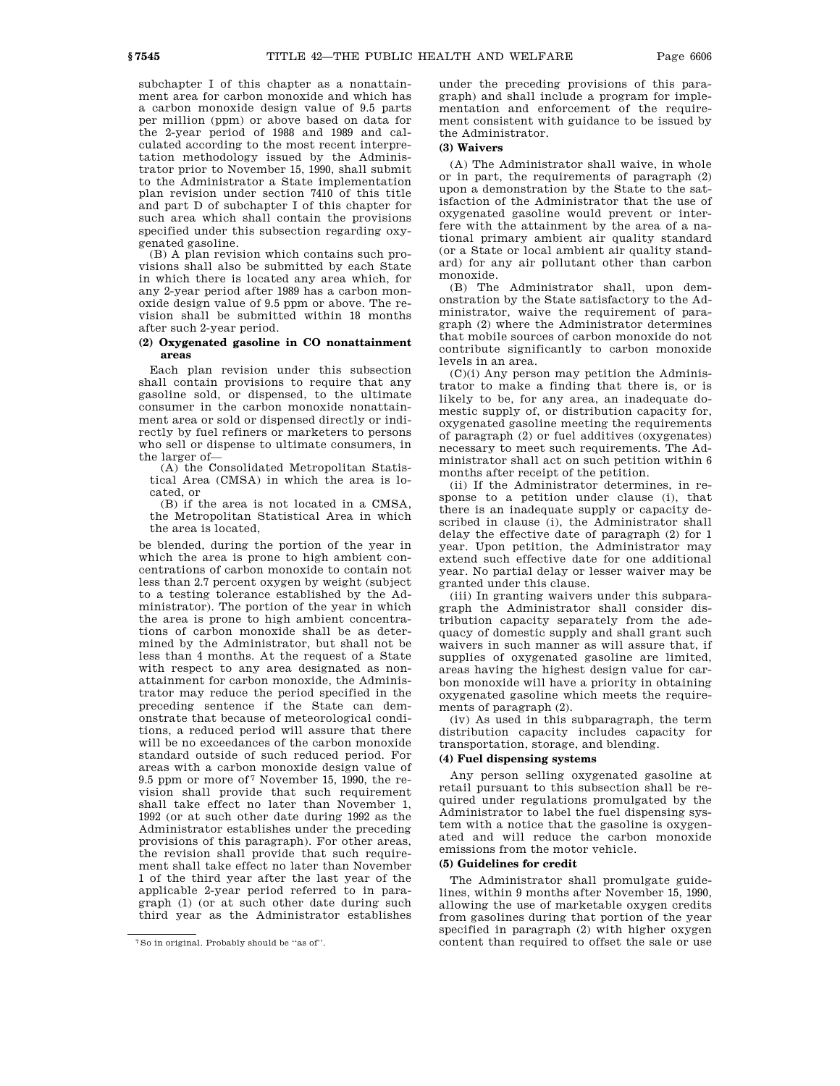subchapter I of this chapter as a nonattainment area for carbon monoxide and which has a carbon monoxide design value of 9.5 parts per million (ppm) or above based on data for the 2-year period of 1988 and 1989 and calculated according to the most recent interpretation methodology issued by the Administrator prior to November 15, 1990, shall submit to the Administrator a State implementation plan revision under section 7410 of this title and part D of subchapter I of this chapter for such area which shall contain the provisions specified under this subsection regarding oxygenated gasoline.

(B) A plan revision which contains such provisions shall also be submitted by each State in which there is located any area which, for any 2-year period after 1989 has a carbon monoxide design value of 9.5 ppm or above. The revision shall be submitted within 18 months after such 2-year period.

#### **(2) Oxygenated gasoline in CO nonattainment areas**

Each plan revision under this subsection shall contain provisions to require that any gasoline sold, or dispensed, to the ultimate consumer in the carbon monoxide nonattainment area or sold or dispensed directly or indirectly by fuel refiners or marketers to persons who sell or dispense to ultimate consumers, in the larger of—

(A) the Consolidated Metropolitan Statistical Area (CMSA) in which the area is located, or

(B) if the area is not located in a CMSA, the Metropolitan Statistical Area in which the area is located,

be blended, during the portion of the year in which the area is prone to high ambient concentrations of carbon monoxide to contain not less than 2.7 percent oxygen by weight (subject to a testing tolerance established by the Administrator). The portion of the year in which the area is prone to high ambient concentrations of carbon monoxide shall be as determined by the Administrator, but shall not be less than 4 months. At the request of a State with respect to any area designated as nonattainment for carbon monoxide, the Administrator may reduce the period specified in the preceding sentence if the State can demonstrate that because of meteorological conditions, a reduced period will assure that there will be no exceedances of the carbon monoxide standard outside of such reduced period. For areas with a carbon monoxide design value of 9.5 ppm or more of  $7$  November 15, 1990, the revision shall provide that such requirement shall take effect no later than November 1, 1992 (or at such other date during 1992 as the Administrator establishes under the preceding provisions of this paragraph). For other areas, the revision shall provide that such requirement shall take effect no later than November 1 of the third year after the last year of the applicable 2-year period referred to in paragraph (1) (or at such other date during such third year as the Administrator establishes

under the preceding provisions of this paragraph) and shall include a program for implementation and enforcement of the requirement consistent with guidance to be issued by the Administrator.

#### **(3) Waivers**

(A) The Administrator shall waive, in whole or in part, the requirements of paragraph (2) upon a demonstration by the State to the satisfaction of the Administrator that the use of oxygenated gasoline would prevent or interfere with the attainment by the area of a national primary ambient air quality standard (or a State or local ambient air quality standard) for any air pollutant other than carbon monoxide.

(B) The Administrator shall, upon demonstration by the State satisfactory to the Administrator, waive the requirement of paragraph (2) where the Administrator determines that mobile sources of carbon monoxide do not contribute significantly to carbon monoxide levels in an area.

 $(C)(i)$  Any person may petition the Administrator to make a finding that there is, or is likely to be, for any area, an inadequate domestic supply of, or distribution capacity for, oxygenated gasoline meeting the requirements of paragraph (2) or fuel additives (oxygenates) necessary to meet such requirements. The Administrator shall act on such petition within 6 months after receipt of the petition.

(ii) If the Administrator determines, in response to a petition under clause (i), that there is an inadequate supply or capacity described in clause (i), the Administrator shall delay the effective date of paragraph (2) for 1 year. Upon petition, the Administrator may extend such effective date for one additional year. No partial delay or lesser waiver may be granted under this clause.

(iii) In granting waivers under this subparagraph the Administrator shall consider distribution capacity separately from the adequacy of domestic supply and shall grant such waivers in such manner as will assure that, if supplies of oxygenated gasoline are limited, areas having the highest design value for carbon monoxide will have a priority in obtaining oxygenated gasoline which meets the requirements of paragraph (2).

(iv) As used in this subparagraph, the term distribution capacity includes capacity for transportation, storage, and blending.

### **(4) Fuel dispensing systems**

Any person selling oxygenated gasoline at retail pursuant to this subsection shall be required under regulations promulgated by the Administrator to label the fuel dispensing system with a notice that the gasoline is oxygenated and will reduce the carbon monoxide emissions from the motor vehicle.

### **(5) Guidelines for credit**

The Administrator shall promulgate guidelines, within 9 months after November 15, 1990, allowing the use of marketable oxygen credits from gasolines during that portion of the year specified in paragraph (2) with higher oxygen content than required to offset the sale or use

<sup>7</sup>So in original. Probably should be ''as of''.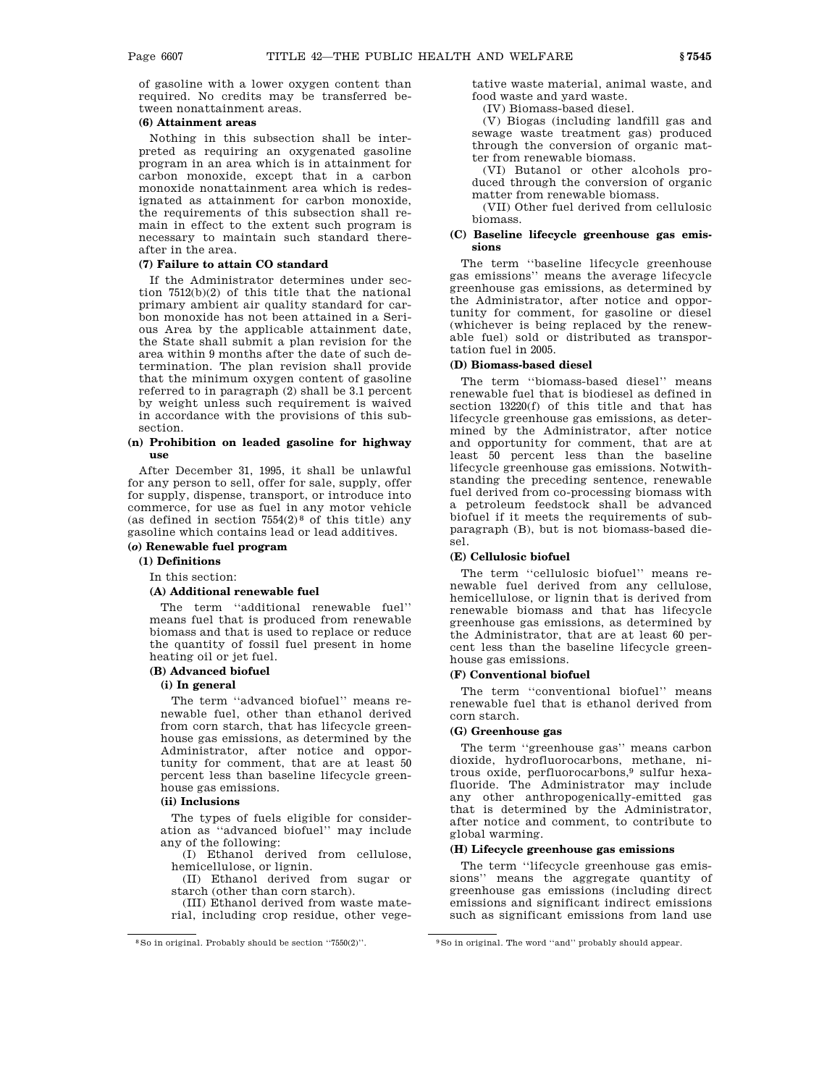of gasoline with a lower oxygen content than required. No credits may be transferred between nonattainment areas.

### **(6) Attainment areas**

Nothing in this subsection shall be interpreted as requiring an oxygenated gasoline program in an area which is in attainment for carbon monoxide, except that in a carbon monoxide nonattainment area which is redesignated as attainment for carbon monoxide, the requirements of this subsection shall remain in effect to the extent such program is necessary to maintain such standard thereafter in the area.

### **(7) Failure to attain CO standard**

If the Administrator determines under section 7512(b)(2) of this title that the national primary ambient air quality standard for carbon monoxide has not been attained in a Serious Area by the applicable attainment date, the State shall submit a plan revision for the area within 9 months after the date of such determination. The plan revision shall provide that the minimum oxygen content of gasoline referred to in paragraph (2) shall be 3.1 percent by weight unless such requirement is waived in accordance with the provisions of this subsection.

### **(n) Prohibition on leaded gasoline for highway use**

After December 31, 1995, it shall be unlawful for any person to sell, offer for sale, supply, offer for supply, dispense, transport, or introduce into commerce, for use as fuel in any motor vehicle (as defined in section  $7554(2)^8$  of this title) any gasoline which contains lead or lead additives.

# **(***o***) Renewable fuel program**

**(1) Definitions**

In this section:

#### **(A) Additional renewable fuel**

The term ''additional renewable fuel'' means fuel that is produced from renewable biomass and that is used to replace or reduce the quantity of fossil fuel present in home heating oil or jet fuel.

### **(B) Advanced biofuel**

### **(i) In general**

The term ''advanced biofuel'' means renewable fuel, other than ethanol derived from corn starch, that has lifecycle greenhouse gas emissions, as determined by the Administrator, after notice and opportunity for comment, that are at least 50 percent less than baseline lifecycle greenhouse gas emissions.

#### **(ii) Inclusions**

The types of fuels eligible for consideration as ''advanced biofuel'' may include any of the following:

(I) Ethanol derived from cellulose, hemicellulose, or lignin.

(II) Ethanol derived from sugar or starch (other than corn starch).

(III) Ethanol derived from waste material, including crop residue, other vegetative waste material, animal waste, and food waste and yard waste.

(IV) Biomass-based diesel.

(V) Biogas (including landfill gas and sewage waste treatment gas) produced through the conversion of organic matter from renewable biomass.

(VI) Butanol or other alcohols produced through the conversion of organic matter from renewable biomass.

(VII) Other fuel derived from cellulosic biomass.

### **(C) Baseline lifecycle greenhouse gas emissions**

The term ''baseline lifecycle greenhouse gas emissions'' means the average lifecycle greenhouse gas emissions, as determined by the Administrator, after notice and opportunity for comment, for gasoline or diesel (whichever is being replaced by the renewable fuel) sold or distributed as transportation fuel in 2005.

#### **(D) Biomass-based diesel**

The term ''biomass-based diesel'' means renewable fuel that is biodiesel as defined in section 13220(f) of this title and that has lifecycle greenhouse gas emissions, as determined by the Administrator, after notice and opportunity for comment, that are at least 50 percent less than the baseline lifecycle greenhouse gas emissions. Notwithstanding the preceding sentence, renewable fuel derived from co-processing biomass with a petroleum feedstock shall be advanced biofuel if it meets the requirements of subparagraph (B), but is not biomass-based diesel.

#### **(E) Cellulosic biofuel**

The term ''cellulosic biofuel'' means renewable fuel derived from any cellulose, hemicellulose, or lignin that is derived from renewable biomass and that has lifecycle greenhouse gas emissions, as determined by the Administrator, that are at least 60 percent less than the baseline lifecycle greenhouse gas emissions.

#### **(F) Conventional biofuel**

The term ''conventional biofuel'' means renewable fuel that is ethanol derived from corn starch.

### **(G) Greenhouse gas**

The term ''greenhouse gas'' means carbon dioxide, hydrofluorocarbons, methane, nitrous oxide, perfluorocarbons,9 sulfur hexafluoride. The Administrator may include any other anthropogenically-emitted gas that is determined by the Administrator, after notice and comment, to contribute to global warming.

# **(H) Lifecycle greenhouse gas emissions**

The term ''lifecycle greenhouse gas emissions'' means the aggregate quantity of greenhouse gas emissions (including direct emissions and significant indirect emissions such as significant emissions from land use

<sup>8</sup>So in original. Probably should be section ''7550(2)''. 9So in original. The word ''and'' probably should appear.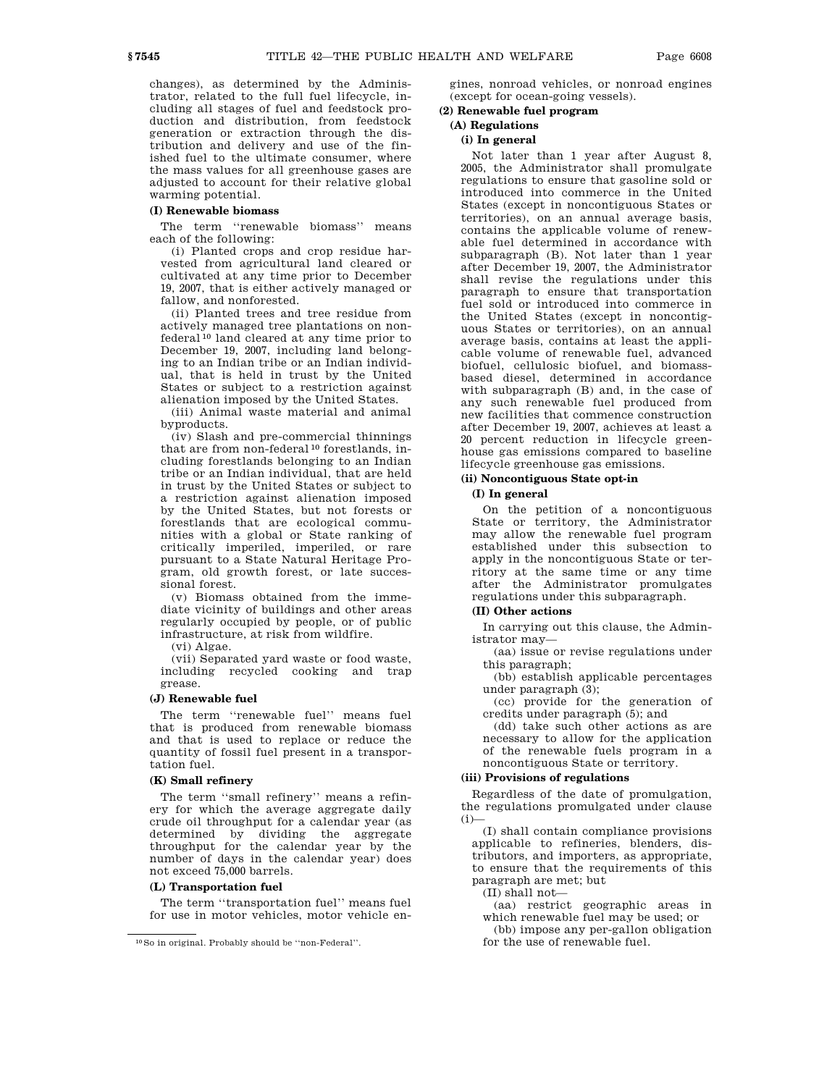changes), as determined by the Administrator, related to the full fuel lifecycle, including all stages of fuel and feedstock production and distribution, from feedstock generation or extraction through the distribution and delivery and use of the finished fuel to the ultimate consumer, where the mass values for all greenhouse gases are adjusted to account for their relative global warming potential.

#### **(I) Renewable biomass**

The term ''renewable biomass'' means each of the following:

(i) Planted crops and crop residue harvested from agricultural land cleared or cultivated at any time prior to December 19, 2007, that is either actively managed or fallow, and nonforested.

(ii) Planted trees and tree residue from actively managed tree plantations on nonfederal 10 land cleared at any time prior to December 19, 2007, including land belonging to an Indian tribe or an Indian individual, that is held in trust by the United States or subject to a restriction against alienation imposed by the United States.

(iii) Animal waste material and animal byproducts.

(iv) Slash and pre-commercial thinnings that are from non-federal 10 forestlands, including forestlands belonging to an Indian tribe or an Indian individual, that are held in trust by the United States or subject to a restriction against alienation imposed by the United States, but not forests or forestlands that are ecological communities with a global or State ranking of critically imperiled, imperiled, or rare pursuant to a State Natural Heritage Program, old growth forest, or late successional forest.

(v) Biomass obtained from the immediate vicinity of buildings and other areas regularly occupied by people, or of public infrastructure, at risk from wildfire.

(vi) Algae.

(vii) Separated yard waste or food waste, including recycled cooking and trap grease.

#### **(J) Renewable fuel**

The term ''renewable fuel'' means fuel that is produced from renewable biomass and that is used to replace or reduce the quantity of fossil fuel present in a transportation fuel.

#### **(K) Small refinery**

The term ''small refinery'' means a refinery for which the average aggregate daily crude oil throughput for a calendar year (as determined by dividing the aggregate throughput for the calendar year by the number of days in the calendar year) does not exceed 75,000 barrels.

### **(L) Transportation fuel**

The term ''transportation fuel'' means fuel for use in motor vehicles, motor vehicle engines, nonroad vehicles, or nonroad engines (except for ocean-going vessels).

# **(2) Renewable fuel program**

### **(A) Regulations**

# **(i) In general**

Not later than 1 year after August 8, 2005, the Administrator shall promulgate regulations to ensure that gasoline sold or introduced into commerce in the United States (except in noncontiguous States or territories), on an annual average basis, contains the applicable volume of renewable fuel determined in accordance with subparagraph (B). Not later than 1 year after December 19, 2007, the Administrator shall revise the regulations under this paragraph to ensure that transportation fuel sold or introduced into commerce in the United States (except in noncontiguous States or territories), on an annual average basis, contains at least the applicable volume of renewable fuel, advanced biofuel, cellulosic biofuel, and biomassbased diesel, determined in accordance with subparagraph (B) and, in the case of any such renewable fuel produced from new facilities that commence construction after December 19, 2007, achieves at least a 20 percent reduction in lifecycle greenhouse gas emissions compared to baseline lifecycle greenhouse gas emissions.

# **(ii) Noncontiguous State opt-in**

#### **(I) In general**

On the petition of a noncontiguous State or territory, the Administrator may allow the renewable fuel program established under this subsection to apply in the noncontiguous State or territory at the same time or any time after the Administrator promulgates regulations under this subparagraph.

# **(II) Other actions**

In carrying out this clause, the Administrator may—

(aa) issue or revise regulations under this paragraph;

(bb) establish applicable percentages under paragraph (3);

(cc) provide for the generation of credits under paragraph (5); and

(dd) take such other actions as are necessary to allow for the application of the renewable fuels program in a noncontiguous State or territory.

### **(iii) Provisions of regulations**

Regardless of the date of promulgation, the regulations promulgated under clause  $(i)$ 

(I) shall contain compliance provisions applicable to refineries, blenders, distributors, and importers, as appropriate, to ensure that the requirements of this paragraph are met; but

(II) shall not—

(aa) restrict geographic areas in which renewable fuel may be used; or

(bb) impose any per-gallon obligation for the use of renewable fuel.

<sup>10</sup>So in original. Probably should be ''non-Federal''.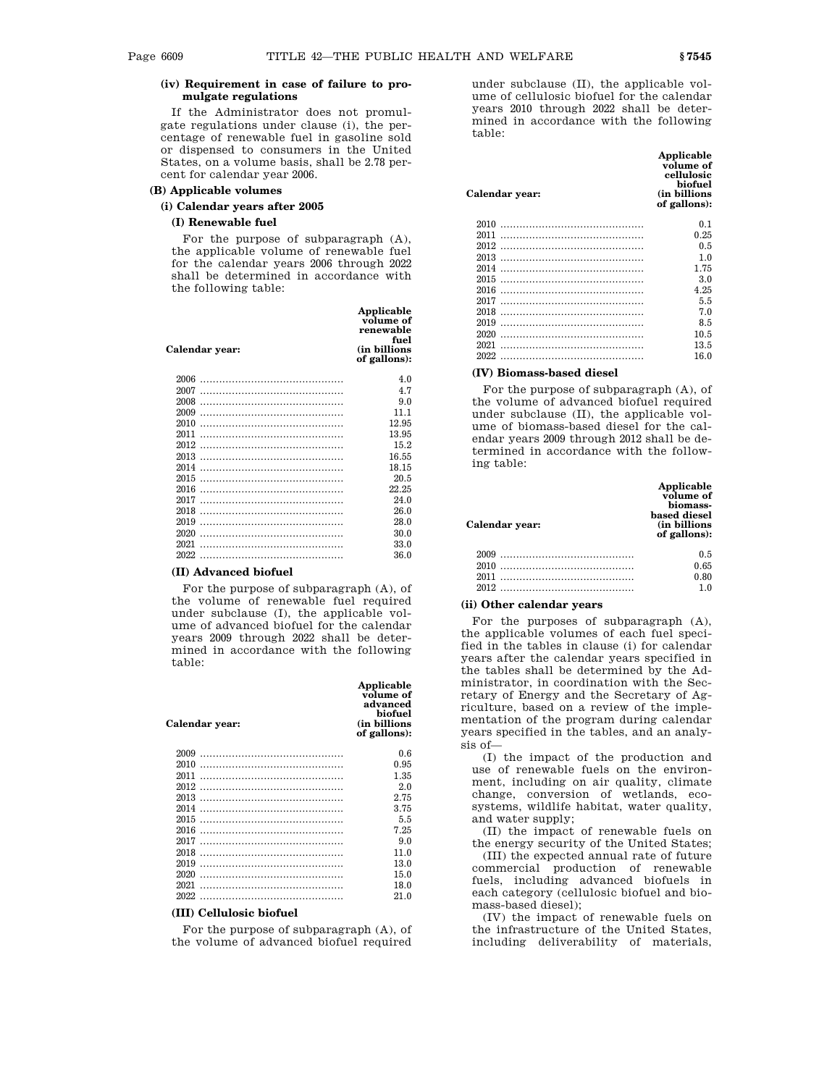### **(iv) Requirement in case of failure to promulgate regulations**

If the Administrator does not promulgate regulations under clause (i), the percentage of renewable fuel in gasoline sold or dispensed to consumers in the United States, on a volume basis, shall be 2.78 percent for calendar year 2006.

### **(B) Applicable volumes**

### **(i) Calendar years after 2005**

### **(I) Renewable fuel**

For the purpose of subparagraph (A), the applicable volume of renewable fuel for the calendar years 2006 through 2022 shall be determined in accordance with the following table:

| Calendar year: | Applicable<br>volume of<br>renewable<br>fuel<br>(in billions<br>of gallons): |
|----------------|------------------------------------------------------------------------------|
| 2006           | 4.0                                                                          |
| 2007           | 4.7                                                                          |
| 2008           | 9.0                                                                          |
| 2009           | 11.1                                                                         |
| 2010           | 12.95                                                                        |
| 2011           | 13.95                                                                        |
| 2012           | 15.2                                                                         |
| 2013           | 16.55                                                                        |
| 2014           | 18.15                                                                        |
| 2015           | 20.5                                                                         |
| 2016           | 22.25                                                                        |
| 2017           | 24.0                                                                         |
| 2018           | 26.0                                                                         |
|                |                                                                              |
| 2019           | 28.0                                                                         |
| 2020           | 30.0                                                                         |
| 2021           | 33.0                                                                         |
| 2022           | 36.0                                                                         |

### **(II) Advanced biofuel**

For the purpose of subparagraph (A), of the volume of renewable fuel required under subclause (I), the applicable volume of advanced biofuel for the calendar years 2009 through 2022 shall be determined in accordance with the following table:

**Applicable**

| Calendar year: | лррисаюн<br>volume of<br>advanced<br>biofuel<br>(in billions<br>of gallons): |
|----------------|------------------------------------------------------------------------------|
| 2009           | 0.6                                                                          |
| 2010           | 0.95                                                                         |
| 2011           | 1.35                                                                         |
| 2012           | 2.0                                                                          |
| 2013           | 2.75                                                                         |
| 2014           | 3.75                                                                         |
| 2015           | 5.5                                                                          |
| 2016           | 7.25                                                                         |
| 2017           | 9.0                                                                          |
| 2018           | 11.0                                                                         |
| 2019           | 13.0                                                                         |
| 2020           | 15.0                                                                         |
| 2021           | 18.0                                                                         |
| 2022           | 21.0                                                                         |
|                |                                                                              |

# **(III) Cellulosic biofuel**

For the purpose of subparagraph (A), of the volume of advanced biofuel required under subclause (II), the applicable volume of cellulosic biofuel for the calendar years 2010 through 2022 shall be determined in accordance with the following table:

| Calendar year: | Applicable<br>volume of<br>cellulosic<br>hiofuel<br>(in billions<br>of gallons): |
|----------------|----------------------------------------------------------------------------------|
| 2010           | 0.1                                                                              |
| 2011           | 0.25                                                                             |
| 2012           | 0.5                                                                              |
| 2013           | 1.0                                                                              |
| 2014           | 1.75                                                                             |
| 2015           | 3.0                                                                              |
| 2016           | 4.25                                                                             |
| 2017           | 5.5                                                                              |
| 2018           | 7.0                                                                              |
| 2019           | 8.5                                                                              |
| 2020           | 10.5                                                                             |
| 2021           | 13.5                                                                             |
| 2022           | 16.0                                                                             |

#### **(IV) Biomass-based diesel**

For the purpose of subparagraph (A), of the volume of advanced biofuel required under subclause (II), the applicable volume of biomass-based diesel for the calendar years 2009 through 2012 shall be determined in accordance with the following table:

| Calendar year: | Applicable<br>volume of<br>biomass-<br>based diesel<br>(in billions<br>of gallons): |
|----------------|-------------------------------------------------------------------------------------|
| 2009           | 0.5                                                                                 |
| 2010           | 0.65                                                                                |
| 2011           | 0.80                                                                                |
| 2012           | 10                                                                                  |

#### **(ii) Other calendar years**

For the purposes of subparagraph (A), the applicable volumes of each fuel specified in the tables in clause (i) for calendar years after the calendar years specified in the tables shall be determined by the Administrator, in coordination with the Secretary of Energy and the Secretary of Agriculture, based on a review of the implementation of the program during calendar years specified in the tables, and an analysis of—

(I) the impact of the production and use of renewable fuels on the environment, including on air quality, climate change, conversion of wetlands, ecosystems, wildlife habitat, water quality, and water supply;

(II) the impact of renewable fuels on the energy security of the United States;

(III) the expected annual rate of future commercial production of renewable fuels, including advanced biofuels in each category (cellulosic biofuel and biomass-based diesel);

(IV) the impact of renewable fuels on the infrastructure of the United States, including deliverability of materials,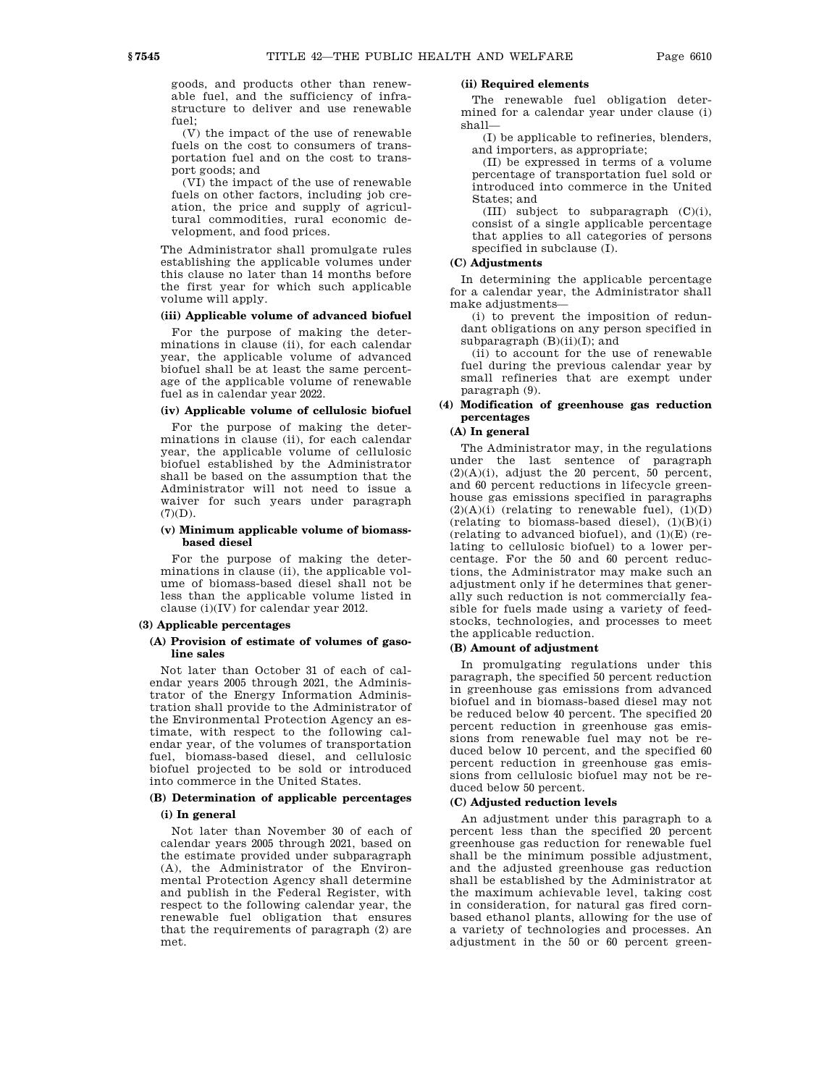goods, and products other than renewable fuel, and the sufficiency of infrastructure to deliver and use renewable  $f$ <sub>11e</sub> $]$ 

(V) the impact of the use of renewable fuels on the cost to consumers of transportation fuel and on the cost to transport goods; and

(VI) the impact of the use of renewable fuels on other factors, including job creation, the price and supply of agricultural commodities, rural economic development, and food prices.

The Administrator shall promulgate rules establishing the applicable volumes under this clause no later than 14 months before the first year for which such applicable volume will apply.

### **(iii) Applicable volume of advanced biofuel**

For the purpose of making the determinations in clause (ii), for each calendar year, the applicable volume of advanced biofuel shall be at least the same percentage of the applicable volume of renewable fuel as in calendar year 2022.

#### **(iv) Applicable volume of cellulosic biofuel**

For the purpose of making the determinations in clause (ii), for each calendar year, the applicable volume of cellulosic biofuel established by the Administrator shall be based on the assumption that the Administrator will not need to issue a waiver for such years under paragraph  $(7)(D)$ .

### **(v) Minimum applicable volume of biomassbased diesel**

For the purpose of making the determinations in clause (ii), the applicable volume of biomass-based diesel shall not be less than the applicable volume listed in clause (i)(IV) for calendar year 2012.

### **(3) Applicable percentages**

### **(A) Provision of estimate of volumes of gasoline sales**

Not later than October 31 of each of calendar years 2005 through 2021, the Administrator of the Energy Information Administration shall provide to the Administrator of the Environmental Protection Agency an estimate, with respect to the following calendar year, of the volumes of transportation fuel, biomass-based diesel, and cellulosic biofuel projected to be sold or introduced into commerce in the United States.

# **(B) Determination of applicable percentages (i) In general**

Not later than November 30 of each of calendar years 2005 through 2021, based on the estimate provided under subparagraph (A), the Administrator of the Environmental Protection Agency shall determine and publish in the Federal Register, with respect to the following calendar year, the renewable fuel obligation that ensures that the requirements of paragraph (2) are met.

### **(ii) Required elements**

The renewable fuel obligation determined for a calendar year under clause (i) shall—

(I) be applicable to refineries, blenders, and importers, as appropriate;

(II) be expressed in terms of a volume percentage of transportation fuel sold or introduced into commerce in the United States; and

(III) subject to subparagraph (C)(i), consist of a single applicable percentage that applies to all categories of persons specified in subclause (I).

### **(C) Adjustments**

In determining the applicable percentage for a calendar year, the Administrator shall make adjustments—

(i) to prevent the imposition of redundant obligations on any person specified in subparagraph  $(B)(ii)(I)$ ; and

(ii) to account for the use of renewable fuel during the previous calendar year by small refineries that are exempt under paragraph (9).

# **(4) Modification of greenhouse gas reduction percentages**

#### **(A) In general**

The Administrator may, in the regulations under the last sentence of paragraph  $(2)(A)(i)$ , adjust the 20 percent, 50 percent, and 60 percent reductions in lifecycle greenhouse gas emissions specified in paragraphs  $(2)(A)(i)$  (relating to renewable fuel),  $(1)(D)$ (relating to biomass-based diesel),  $(1)(B)(i)$ (relating to advanced biofuel), and (1)(E) (relating to cellulosic biofuel) to a lower percentage. For the 50 and 60 percent reductions, the Administrator may make such an adjustment only if he determines that generally such reduction is not commercially feasible for fuels made using a variety of feedstocks, technologies, and processes to meet the applicable reduction.

#### **(B) Amount of adjustment**

In promulgating regulations under this paragraph, the specified 50 percent reduction in greenhouse gas emissions from advanced biofuel and in biomass-based diesel may not be reduced below 40 percent. The specified 20 percent reduction in greenhouse gas emissions from renewable fuel may not be reduced below 10 percent, and the specified 60 percent reduction in greenhouse gas emissions from cellulosic biofuel may not be reduced below 50 percent.

#### **(C) Adjusted reduction levels**

An adjustment under this paragraph to a percent less than the specified 20 percent greenhouse gas reduction for renewable fuel shall be the minimum possible adjustment, and the adjusted greenhouse gas reduction shall be established by the Administrator at the maximum achievable level, taking cost in consideration, for natural gas fired cornbased ethanol plants, allowing for the use of a variety of technologies and processes. An adjustment in the 50 or 60 percent green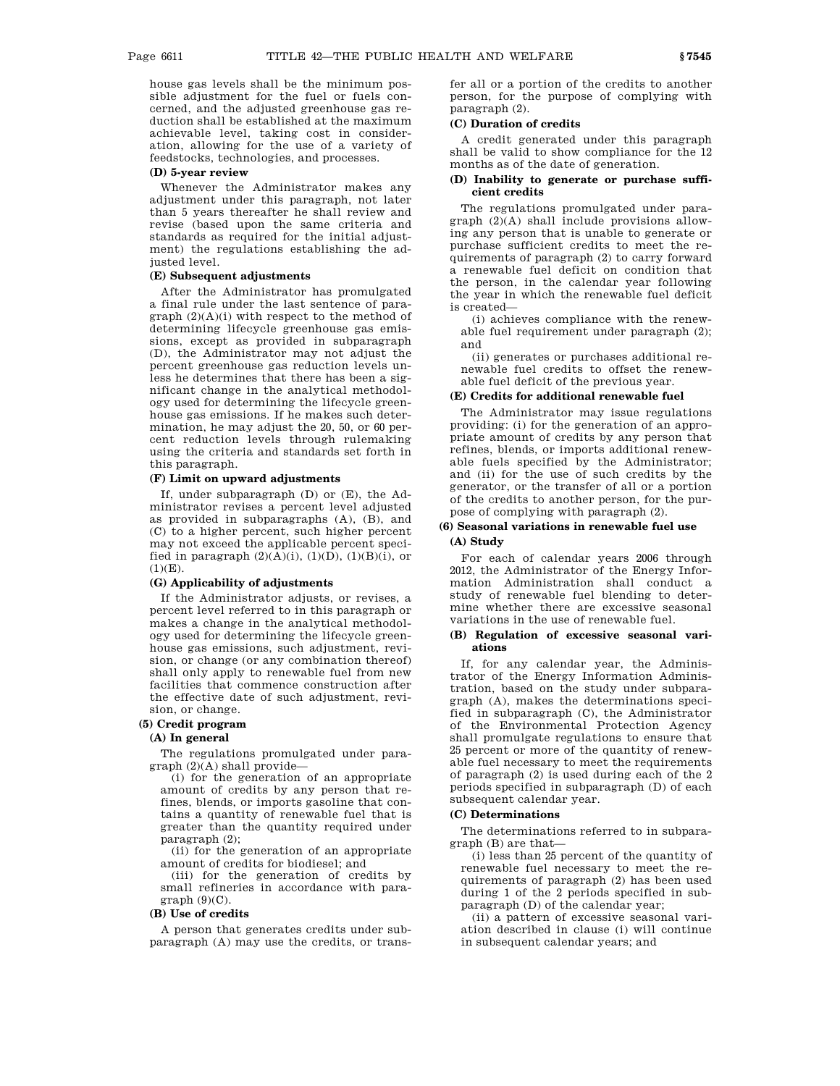house gas levels shall be the minimum possible adjustment for the fuel or fuels concerned, and the adjusted greenhouse gas reduction shall be established at the maximum achievable level, taking cost in consideration, allowing for the use of a variety of feedstocks, technologies, and processes.

#### **(D) 5-year review**

Whenever the Administrator makes any adjustment under this paragraph, not later than 5 years thereafter he shall review and revise (based upon the same criteria and standards as required for the initial adjustment) the regulations establishing the adjusted level.

# **(E) Subsequent adjustments**

After the Administrator has promulgated a final rule under the last sentence of paragraph (2)(A)(i) with respect to the method of determining lifecycle greenhouse gas emissions, except as provided in subparagraph (D), the Administrator may not adjust the percent greenhouse gas reduction levels unless he determines that there has been a significant change in the analytical methodology used for determining the lifecycle greenhouse gas emissions. If he makes such determination, he may adjust the 20, 50, or 60 percent reduction levels through rulemaking using the criteria and standards set forth in this paragraph.

#### **(F) Limit on upward adjustments**

If, under subparagraph (D) or (E), the Administrator revises a percent level adjusted as provided in subparagraphs (A), (B), and (C) to a higher percent, such higher percent may not exceed the applicable percent specified in paragraph  $(2)(A)(i)$ ,  $(1)(D)$ ,  $(1)(B)(i)$ , or  $(1)(E)$ .

#### **(G) Applicability of adjustments**

If the Administrator adjusts, or revises, a percent level referred to in this paragraph or makes a change in the analytical methodology used for determining the lifecycle greenhouse gas emissions, such adjustment, revision, or change (or any combination thereof) shall only apply to renewable fuel from new facilities that commence construction after the effective date of such adjustment, revision, or change.

# **(5) Credit program**

#### **(A) In general**

The regulations promulgated under para $graph (2)(A) shall provide-$ 

(i) for the generation of an appropriate amount of credits by any person that refines, blends, or imports gasoline that contains a quantity of renewable fuel that is greater than the quantity required under paragraph (2);

(ii) for the generation of an appropriate amount of credits for biodiesel; and

(iii) for the generation of credits by small refineries in accordance with para $graph (9)(C)$ .

#### **(B) Use of credits**

A person that generates credits under subparagraph (A) may use the credits, or transfer all or a portion of the credits to another person, for the purpose of complying with paragraph (2).

#### **(C) Duration of credits**

A credit generated under this paragraph shall be valid to show compliance for the 12 months as of the date of generation.

### **(D) Inability to generate or purchase sufficient credits**

The regulations promulgated under paragraph (2)(A) shall include provisions allowing any person that is unable to generate or purchase sufficient credits to meet the requirements of paragraph (2) to carry forward a renewable fuel deficit on condition that the person, in the calendar year following the year in which the renewable fuel deficit is created—

(i) achieves compliance with the renewable fuel requirement under paragraph (2); and

(ii) generates or purchases additional renewable fuel credits to offset the renewable fuel deficit of the previous year.

#### **(E) Credits for additional renewable fuel**

The Administrator may issue regulations providing: (i) for the generation of an appropriate amount of credits by any person that refines, blends, or imports additional renewable fuels specified by the Administrator; and (ii) for the use of such credits by the generator, or the transfer of all or a portion of the credits to another person, for the purpose of complying with paragraph (2).

### **(6) Seasonal variations in renewable fuel use (A) Study**

For each of calendar years 2006 through 2012, the Administrator of the Energy Information Administration shall conduct a study of renewable fuel blending to determine whether there are excessive seasonal variations in the use of renewable fuel.

#### **(B) Regulation of excessive seasonal variations**

If, for any calendar year, the Administrator of the Energy Information Administration, based on the study under subparagraph (A), makes the determinations specified in subparagraph (C), the Administrator of the Environmental Protection Agency shall promulgate regulations to ensure that 25 percent or more of the quantity of renewable fuel necessary to meet the requirements of paragraph (2) is used during each of the 2 periods specified in subparagraph (D) of each subsequent calendar year.

## **(C) Determinations**

The determinations referred to in subparagraph (B) are that—

(i) less than 25 percent of the quantity of renewable fuel necessary to meet the requirements of paragraph (2) has been used during 1 of the 2 periods specified in subparagraph (D) of the calendar year;

(ii) a pattern of excessive seasonal variation described in clause (i) will continue in subsequent calendar years; and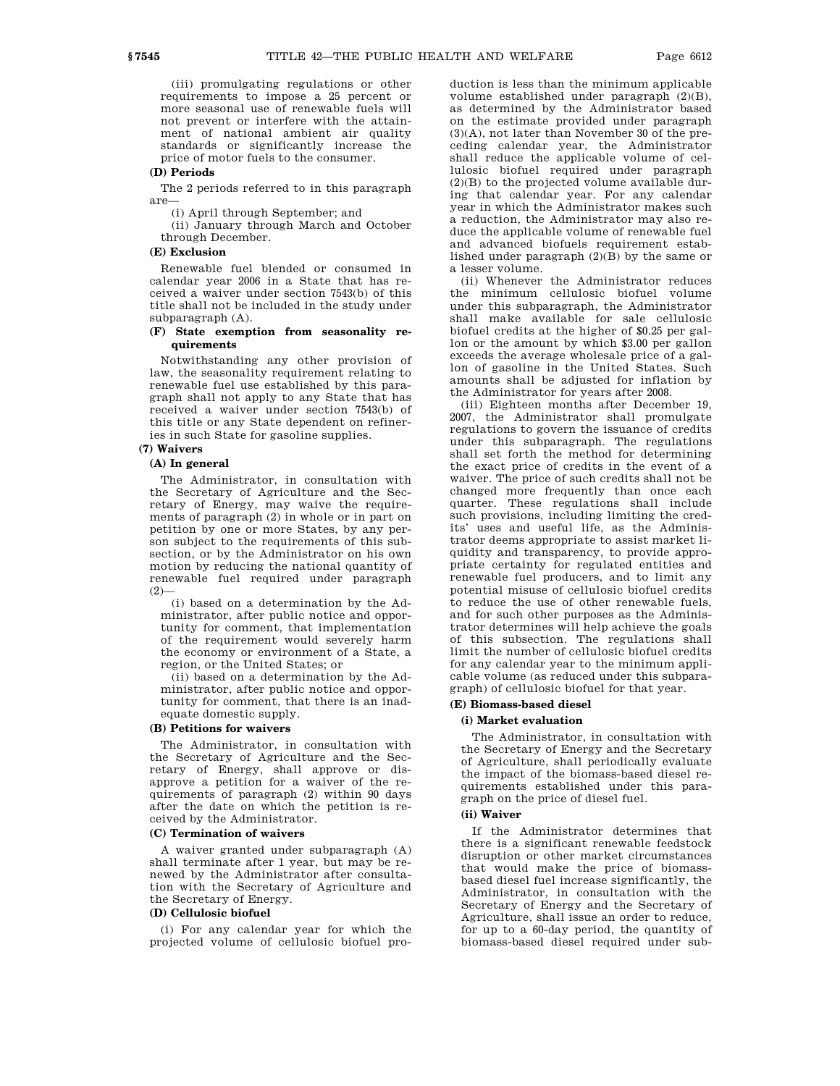(iii) promulgating regulations or other requirements to impose a 25 percent or more seasonal use of renewable fuels will not prevent or interfere with the attainment of national ambient air quality standards or significantly increase the price of motor fuels to the consumer.

### **(D) Periods**

The 2 periods referred to in this paragraph are—

(i) April through September; and

(ii) January through March and October through December.

### **(E) Exclusion**

Renewable fuel blended or consumed in calendar year 2006 in a State that has received a waiver under section 7543(b) of this title shall not be included in the study under subparagraph (A).

### **(F) State exemption from seasonality requirements**

Notwithstanding any other provision of law, the seasonality requirement relating to renewable fuel use established by this paragraph shall not apply to any State that has received a waiver under section 7543(b) of this title or any State dependent on refineries in such State for gasoline supplies.

#### **(7) Waivers**

### **(A) In general**

The Administrator, in consultation with the Secretary of Agriculture and the Secretary of Energy, may waive the requirements of paragraph (2) in whole or in part on petition by one or more States, by any person subject to the requirements of this subsection, or by the Administrator on his own motion by reducing the national quantity of renewable fuel required under paragraph  $(2)$ 

(i) based on a determination by the Administrator, after public notice and opportunity for comment, that implementation of the requirement would severely harm the economy or environment of a State, a region, or the United States; or

(ii) based on a determination by the Administrator, after public notice and opportunity for comment, that there is an inadequate domestic supply.

## **(B) Petitions for waivers**

The Administrator, in consultation with the Secretary of Agriculture and the Secretary of Energy, shall approve or disapprove a petition for a waiver of the requirements of paragraph (2) within 90 days after the date on which the petition is received by the Administrator.

# **(C) Termination of waivers**

A waiver granted under subparagraph (A) shall terminate after 1 year, but may be renewed by the Administrator after consultation with the Secretary of Agriculture and the Secretary of Energy.

### **(D) Cellulosic biofuel**

(i) For any calendar year for which the projected volume of cellulosic biofuel production is less than the minimum applicable volume established under paragraph (2)(B), as determined by the Administrator based on the estimate provided under paragraph (3)(A), not later than November 30 of the preceding calendar year, the Administrator shall reduce the applicable volume of cellulosic biofuel required under paragraph (2)(B) to the projected volume available during that calendar year. For any calendar year in which the Administrator makes such a reduction, the Administrator may also reduce the applicable volume of renewable fuel and advanced biofuels requirement established under paragraph (2)(B) by the same or a lesser volume.

(ii) Whenever the Administrator reduces the minimum cellulosic biofuel volume under this subparagraph, the Administrator shall make available for sale cellulosic biofuel credits at the higher of \$0.25 per gallon or the amount by which \$3.00 per gallon exceeds the average wholesale price of a gallon of gasoline in the United States. Such amounts shall be adjusted for inflation by the Administrator for years after 2008.

(iii) Eighteen months after December 19, 2007, the Administrator shall promulgate regulations to govern the issuance of credits under this subparagraph. The regulations shall set forth the method for determining the exact price of credits in the event of a waiver. The price of such credits shall not be changed more frequently than once each quarter. These regulations shall include such provisions, including limiting the credits' uses and useful life, as the Administrator deems appropriate to assist market liquidity and transparency, to provide appropriate certainty for regulated entities and renewable fuel producers, and to limit any potential misuse of cellulosic biofuel credits to reduce the use of other renewable fuels, and for such other purposes as the Administrator determines will help achieve the goals of this subsection. The regulations shall limit the number of cellulosic biofuel credits for any calendar year to the minimum applicable volume (as reduced under this subparagraph) of cellulosic biofuel for that year.

# **(E) Biomass-based diesel**

#### **(i) Market evaluation**

The Administrator, in consultation with the Secretary of Energy and the Secretary of Agriculture, shall periodically evaluate the impact of the biomass-based diesel requirements established under this paragraph on the price of diesel fuel.

### **(ii) Waiver**

If the Administrator determines that there is a significant renewable feedstock disruption or other market circumstances that would make the price of biomassbased diesel fuel increase significantly, the Administrator, in consultation with the Secretary of Energy and the Secretary of Agriculture, shall issue an order to reduce, for up to a 60-day period, the quantity of biomass-based diesel required under sub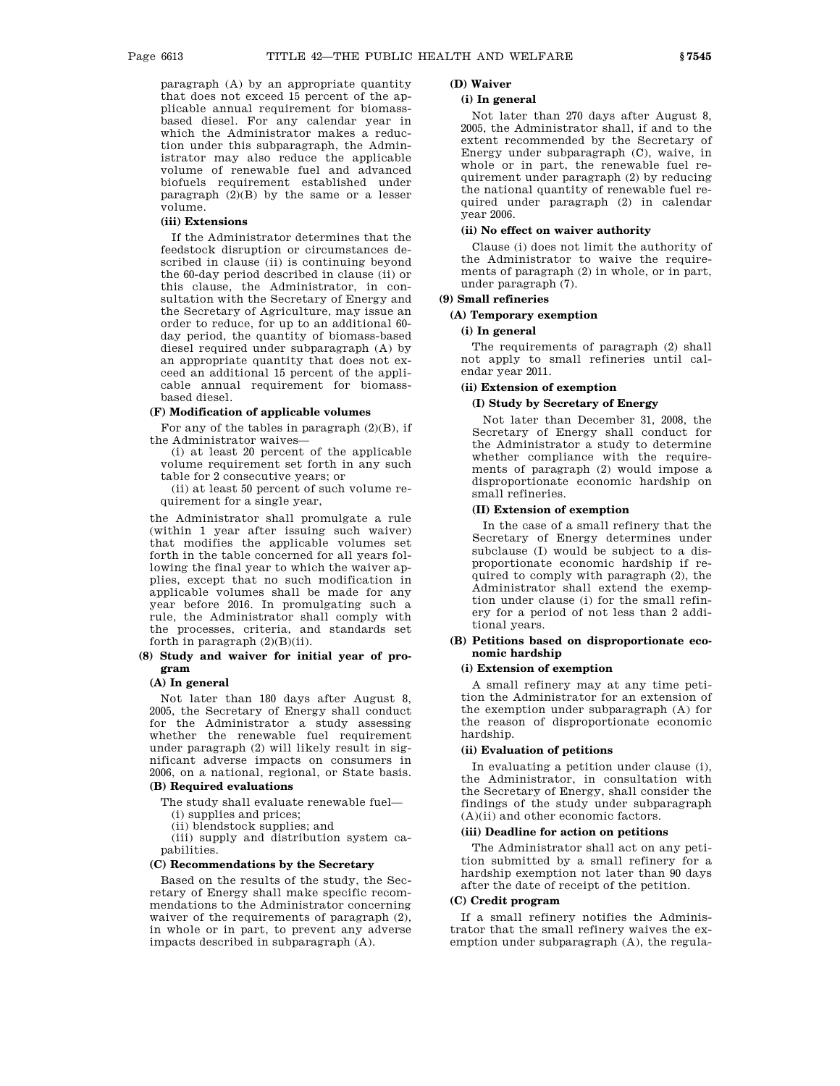paragraph (A) by an appropriate quantity that does not exceed 15 percent of the applicable annual requirement for biomassbased diesel. For any calendar year in which the Administrator makes a reduction under this subparagraph, the Administrator may also reduce the applicable volume of renewable fuel and advanced biofuels requirement established under paragraph  $(2)(B)$  by the same or a lesser volume.

#### **(iii) Extensions**

If the Administrator determines that the feedstock disruption or circumstances described in clause (ii) is continuing beyond the 60-day period described in clause (ii) or this clause, the Administrator, in consultation with the Secretary of Energy and the Secretary of Agriculture, may issue an order to reduce, for up to an additional 60 day period, the quantity of biomass-based diesel required under subparagraph (A) by an appropriate quantity that does not exceed an additional 15 percent of the applicable annual requirement for biomassbased diesel.

### **(F) Modification of applicable volumes**

For any of the tables in paragraph (2)(B), if the Administrator waives—

(i) at least 20 percent of the applicable volume requirement set forth in any such table for 2 consecutive years; or

(ii) at least 50 percent of such volume requirement for a single year,

the Administrator shall promulgate a rule (within 1 year after issuing such waiver) that modifies the applicable volumes set forth in the table concerned for all years following the final year to which the waiver applies, except that no such modification in applicable volumes shall be made for any year before 2016. In promulgating such a rule, the Administrator shall comply with the processes, criteria, and standards set forth in paragraph  $(2)(B)(ii)$ .

### **(8) Study and waiver for initial year of program**

#### **(A) In general**

Not later than 180 days after August 8, 2005, the Secretary of Energy shall conduct for the Administrator a study assessing whether the renewable fuel requirement under paragraph (2) will likely result in significant adverse impacts on consumers in 2006, on a national, regional, or State basis.

### **(B) Required evaluations**

The study shall evaluate renewable fuel—

(i) supplies and prices;

(ii) blendstock supplies; and

(iii) supply and distribution system capabilities.

#### **(C) Recommendations by the Secretary**

Based on the results of the study, the Secretary of Energy shall make specific recommendations to the Administrator concerning waiver of the requirements of paragraph (2), in whole or in part, to prevent any adverse impacts described in subparagraph (A).

# **(D) Waiver**

# **(i) In general**

Not later than 270 days after August 8, 2005, the Administrator shall, if and to the extent recommended by the Secretary of Energy under subparagraph (C), waive, in whole or in part, the renewable fuel requirement under paragraph (2) by reducing the national quantity of renewable fuel required under paragraph (2) in calendar year 2006.

### **(ii) No effect on waiver authority**

Clause (i) does not limit the authority of the Administrator to waive the requirements of paragraph (2) in whole, or in part, under paragraph (7).

# **(9) Small refineries**

# **(A) Temporary exemption**

# **(i) In general**

The requirements of paragraph (2) shall not apply to small refineries until calendar year 2011.

### **(ii) Extension of exemption**

#### **(I) Study by Secretary of Energy**

Not later than December 31, 2008, the Secretary of Energy shall conduct for the Administrator a study to determine whether compliance with the requirements of paragraph (2) would impose a disproportionate economic hardship on small refineries.

#### **(II) Extension of exemption**

In the case of a small refinery that the Secretary of Energy determines under subclause (I) would be subject to a disproportionate economic hardship if required to comply with paragraph (2), the Administrator shall extend the exemption under clause (i) for the small refinery for a period of not less than 2 additional years.

### **(B) Petitions based on disproportionate economic hardship**

### **(i) Extension of exemption**

A small refinery may at any time petition the Administrator for an extension of the exemption under subparagraph (A) for the reason of disproportionate economic hardship.

### **(ii) Evaluation of petitions**

In evaluating a petition under clause (i), the Administrator, in consultation with the Secretary of Energy, shall consider the findings of the study under subparagraph (A)(ii) and other economic factors.

#### **(iii) Deadline for action on petitions**

The Administrator shall act on any petition submitted by a small refinery for a hardship exemption not later than 90 days after the date of receipt of the petition.

#### **(C) Credit program**

If a small refinery notifies the Administrator that the small refinery waives the exemption under subparagraph (A), the regula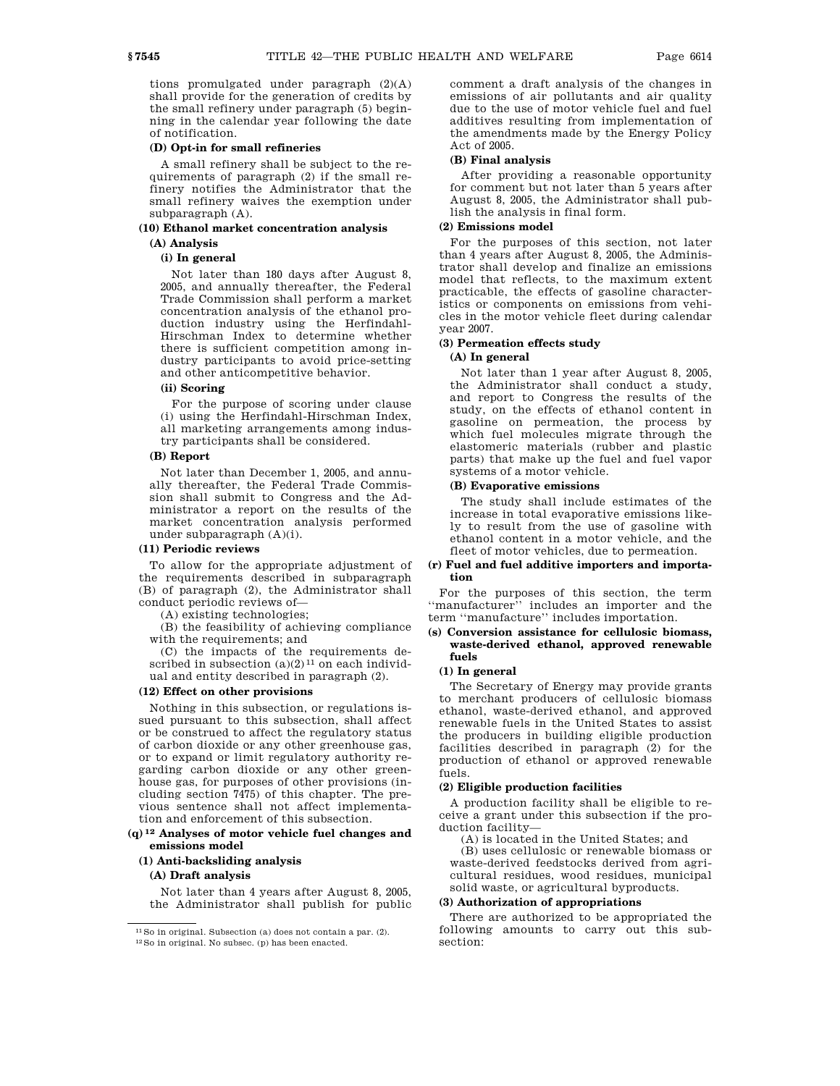tions promulgated under paragraph (2)(A) shall provide for the generation of credits by the small refinery under paragraph (5) beginning in the calendar year following the date of notification.

### **(D) Opt-in for small refineries**

A small refinery shall be subject to the requirements of paragraph (2) if the small refinery notifies the Administrator that the small refinery waives the exemption under subparagraph (A).

### **(10) Ethanol market concentration analysis (A) Analysis**

#### **(i) In general**

Not later than 180 days after August 8, 2005, and annually thereafter, the Federal Trade Commission shall perform a market concentration analysis of the ethanol production industry using the Herfindahl-Hirschman Index to determine whether there is sufficient competition among industry participants to avoid price-setting and other anticompetitive behavior.

### **(ii) Scoring**

For the purpose of scoring under clause (i) using the Herfindahl-Hirschman Index, all marketing arrangements among industry participants shall be considered.

#### **(B) Report**

Not later than December 1, 2005, and annually thereafter, the Federal Trade Commission shall submit to Congress and the Administrator a report on the results of the market concentration analysis performed under subparagraph (A)(i).

### **(11) Periodic reviews**

To allow for the appropriate adjustment of the requirements described in subparagraph (B) of paragraph (2), the Administrator shall conduct periodic reviews of—

(A) existing technologies;

(B) the feasibility of achieving compliance with the requirements; and

(C) the impacts of the requirements described in subsection  $(a)(2)^{11}$  on each individual and entity described in paragraph (2).

#### **(12) Effect on other provisions**

Nothing in this subsection, or regulations issued pursuant to this subsection, shall affect or be construed to affect the regulatory status of carbon dioxide or any other greenhouse gas, or to expand or limit regulatory authority regarding carbon dioxide or any other greenhouse gas, for purposes of other provisions (including section 7475) of this chapter. The previous sentence shall not affect implementation and enforcement of this subsection.

### **(q) 12 Analyses of motor vehicle fuel changes and emissions model**

### **(1) Anti-backsliding analysis**

### **(A) Draft analysis**

Not later than 4 years after August 8, 2005, the Administrator shall publish for public comment a draft analysis of the changes in emissions of air pollutants and air quality due to the use of motor vehicle fuel and fuel additives resulting from implementation of the amendments made by the Energy Policy Act of 2005.

# **(B) Final analysis**

After providing a reasonable opportunity for comment but not later than 5 years after August 8, 2005, the Administrator shall publish the analysis in final form.

### **(2) Emissions model**

For the purposes of this section, not later than 4 years after August 8, 2005, the Administrator shall develop and finalize an emissions model that reflects, to the maximum extent practicable, the effects of gasoline characteristics or components on emissions from vehicles in the motor vehicle fleet during calendar year 2007.

#### **(3) Permeation effects study**

#### **(A) In general**

Not later than 1 year after August 8, 2005, the Administrator shall conduct a study, and report to Congress the results of the study, on the effects of ethanol content in gasoline on permeation, the process by which fuel molecules migrate through the elastomeric materials (rubber and plastic parts) that make up the fuel and fuel vapor systems of a motor vehicle.

#### **(B) Evaporative emissions**

The study shall include estimates of the increase in total evaporative emissions likely to result from the use of gasoline with ethanol content in a motor vehicle, and the fleet of motor vehicles, due to permeation.

### **(r) Fuel and fuel additive importers and importation**

For the purposes of this section, the term ''manufacturer'' includes an importer and the term ''manufacture'' includes importation.

#### **(s) Conversion assistance for cellulosic biomass, waste-derived ethanol, approved renewable fuels**

### **(1) In general**

The Secretary of Energy may provide grants to merchant producers of cellulosic biomass ethanol, waste-derived ethanol, and approved renewable fuels in the United States to assist the producers in building eligible production facilities described in paragraph (2) for the production of ethanol or approved renewable fuels.

#### **(2) Eligible production facilities**

A production facility shall be eligible to receive a grant under this subsection if the production facility—

(A) is located in the United States; and

(B) uses cellulosic or renewable biomass or waste-derived feedstocks derived from agricultural residues, wood residues, municipal solid waste, or agricultural byproducts.

# **(3) Authorization of appropriations**

There are authorized to be appropriated the following amounts to carry out this subsection:

<sup>11</sup>So in original. Subsection (a) does not contain a par. (2).

<sup>12</sup>So in original. No subsec. (p) has been enacted.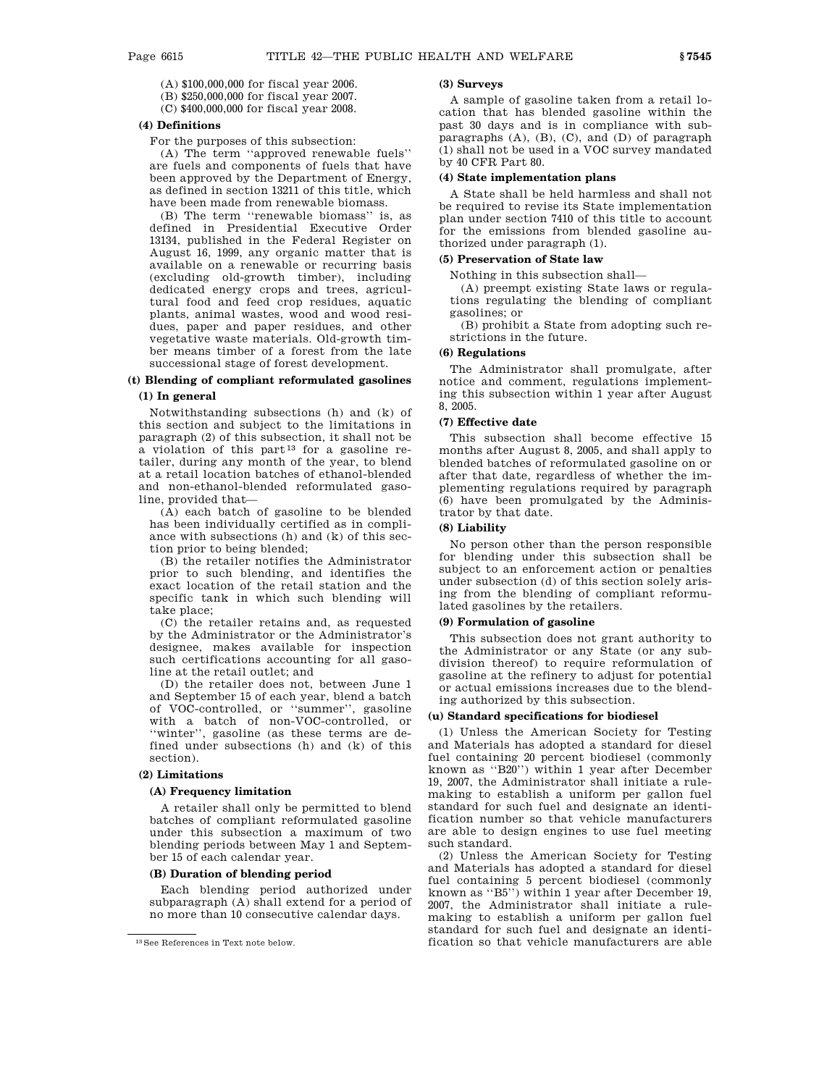(A) \$100,000,000 for fiscal year 2006. (B) \$250,000,000 for fiscal year 2007. (C) \$400,000,000 for fiscal year 2008.

#### **(4) Definitions**

For the purposes of this subsection:

(A) The term ''approved renewable fuels'' are fuels and components of fuels that have been approved by the Department of Energy, as defined in section 13211 of this title, which have been made from renewable biomass.

(B) The term ''renewable biomass'' is, as defined in Presidential Executive Order 13134, published in the Federal Register on August 16, 1999, any organic matter that is available on a renewable or recurring basis (excluding old-growth timber), including dedicated energy crops and trees, agricultural food and feed crop residues, aquatic plants, animal wastes, wood and wood residues, paper and paper residues, and other vegetative waste materials. Old-growth timber means timber of a forest from the late successional stage of forest development.

# **(t) Blending of compliant reformulated gasolines (1) In general**

Notwithstanding subsections (h) and (k) of this section and subject to the limitations in paragraph (2) of this subsection, it shall not be a violation of this part 13 for a gasoline retailer, during any month of the year, to blend at a retail location batches of ethanol-blended and non-ethanol-blended reformulated gasoline, provided that—

(A) each batch of gasoline to be blended has been individually certified as in compliance with subsections (h) and (k) of this section prior to being blended;

(B) the retailer notifies the Administrator prior to such blending, and identifies the exact location of the retail station and the specific tank in which such blending will take place;

(C) the retailer retains and, as requested by the Administrator or the Administrator's designee, makes available for inspection such certifications accounting for all gasoline at the retail outlet; and

(D) the retailer does not, between June 1 and September 15 of each year, blend a batch of VOC-controlled, or ''summer'', gasoline with a batch of non-VOC-controlled, or ''winter'', gasoline (as these terms are defined under subsections (h) and (k) of this section).

### **(2) Limitations**

### **(A) Frequency limitation**

A retailer shall only be permitted to blend batches of compliant reformulated gasoline under this subsection a maximum of two blending periods between May 1 and September 15 of each calendar year.

### **(B) Duration of blending period**

Each blending period authorized under subparagraph (A) shall extend for a period of no more than 10 consecutive calendar days.

# **(3) Surveys**

A sample of gasoline taken from a retail location that has blended gasoline within the past 30 days and is in compliance with subparagraphs (A), (B), (C), and (D) of paragraph (1) shall not be used in a VOC survey mandated by 40 CFR Part 80.

## **(4) State implementation plans**

A State shall be held harmless and shall not be required to revise its State implementation plan under section 7410 of this title to account for the emissions from blended gasoline authorized under paragraph (1).

#### **(5) Preservation of State law**

Nothing in this subsection shall—

(A) preempt existing State laws or regulations regulating the blending of compliant gasolines; or

(B) prohibit a State from adopting such restrictions in the future.

### **(6) Regulations**

The Administrator shall promulgate, after notice and comment, regulations implementing this subsection within 1 year after August 8, 2005.

### **(7) Effective date**

This subsection shall become effective 15 months after August 8, 2005, and shall apply to blended batches of reformulated gasoline on or after that date, regardless of whether the implementing regulations required by paragraph (6) have been promulgated by the Administrator by that date.

### **(8) Liability**

No person other than the person responsible for blending under this subsection shall be subject to an enforcement action or penalties under subsection (d) of this section solely arising from the blending of compliant reformulated gasolines by the retailers.

#### **(9) Formulation of gasoline**

This subsection does not grant authority to the Administrator or any State (or any subdivision thereof) to require reformulation of gasoline at the refinery to adjust for potential or actual emissions increases due to the blending authorized by this subsection.

### **(u) Standard specifications for biodiesel**

(1) Unless the American Society for Testing and Materials has adopted a standard for diesel fuel containing 20 percent biodiesel (commonly known as ''B20'') within 1 year after December 19, 2007, the Administrator shall initiate a rulemaking to establish a uniform per gallon fuel standard for such fuel and designate an identification number so that vehicle manufacturers are able to design engines to use fuel meeting such standard.

(2) Unless the American Society for Testing and Materials has adopted a standard for diesel fuel containing 5 percent biodiesel (commonly known as ''B5'') within 1 year after December 19, 2007, the Administrator shall initiate a rulemaking to establish a uniform per gallon fuel standard for such fuel and designate an identification so that vehicle manufacturers are able

<sup>13</sup>See References in Text note below.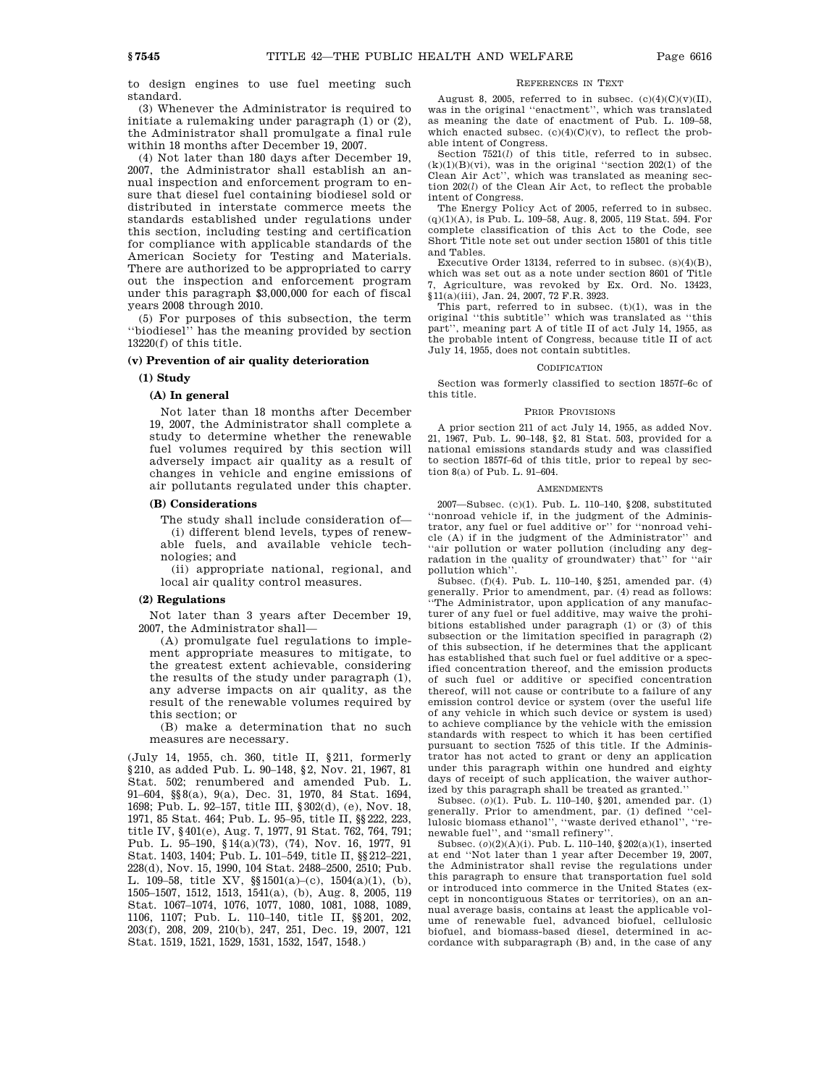to design engines to use fuel meeting such standard.

(3) Whenever the Administrator is required to initiate a rulemaking under paragraph (1) or (2), the Administrator shall promulgate a final rule within 18 months after December 19, 2007.

(4) Not later than 180 days after December 19, 2007, the Administrator shall establish an annual inspection and enforcement program to ensure that diesel fuel containing biodiesel sold or distributed in interstate commerce meets the standards established under regulations under this section, including testing and certification for compliance with applicable standards of the American Society for Testing and Materials. There are authorized to be appropriated to carry out the inspection and enforcement program under this paragraph \$3,000,000 for each of fiscal years 2008 through 2010.

(5) For purposes of this subsection, the term ''biodiesel'' has the meaning provided by section 13220(f) of this title.

### **(v) Prevention of air quality deterioration**

#### **(1) Study**

#### **(A) In general**

Not later than 18 months after December 19, 2007, the Administrator shall complete a study to determine whether the renewable fuel volumes required by this section will adversely impact air quality as a result of changes in vehicle and engine emissions of air pollutants regulated under this chapter.

#### **(B) Considerations**

The study shall include consideration of— (i) different blend levels, types of renewable fuels, and available vehicle technologies; and

(ii) appropriate national, regional, and local air quality control measures.

#### **(2) Regulations**

Not later than 3 years after December 19, 2007, the Administrator shall—

(A) promulgate fuel regulations to implement appropriate measures to mitigate, to the greatest extent achievable, considering the results of the study under paragraph (1), any adverse impacts on air quality, as the result of the renewable volumes required by this section; or

(B) make a determination that no such measures are necessary.

(July 14, 1955, ch. 360, title II, §211, formerly §210, as added Pub. L. 90–148, §2, Nov. 21, 1967, 81 Stat. 502; renumbered and amended Pub. L. 91–604, §§8(a), 9(a), Dec. 31, 1970, 84 Stat. 1694, 1698; Pub. L. 92–157, title III, §302(d), (e), Nov. 18, 1971, 85 Stat. 464; Pub. L. 95–95, title II, §§222, 223, title IV, §401(e), Aug. 7, 1977, 91 Stat. 762, 764, 791; Pub. L. 95–190, §14(a)(73), (74), Nov. 16, 1977, 91 Stat. 1403, 1404; Pub. L. 101–549, title II, §§212–221, 228(d), Nov. 15, 1990, 104 Stat. 2488–2500, 2510; Pub. L. 109–58, title XV,  $\S\ 1501(a)-(c), 1504(a)(1), (b),$ 1505–1507, 1512, 1513, 1541(a), (b), Aug. 8, 2005, 119 Stat. 1067–1074, 1076, 1077, 1080, 1081, 1088, 1089, 1106, 1107; Pub. L. 110–140, title II, §§201, 202, 203(f), 208, 209, 210(b), 247, 251, Dec. 19, 2007, 121 Stat. 1519, 1521, 1529, 1531, 1532, 1547, 1548.)

#### REFERENCES IN TEXT

August 8, 2005, referred to in subsec.  $(c)(4)(C)(v)(II)$ , was in the original ''enactment'', which was translated as meaning the date of enactment of Pub. L. 109–58, which enacted subsec.  $(c)(4)(C)(v)$ , to reflect the probable intent of Congress.

Section 7521(*l*) of this title, referred to in subsec.  $(k)(1)(B)(vi)$ , was in the original "section 202(1) of the Clean Air Act'', which was translated as meaning section 202(*l*) of the Clean Air Act, to reflect the probable intent of Congress.

The Energy Policy Act of 2005, referred to in subsec. (q)(1)(A), is Pub. L. 109–58, Aug. 8, 2005, 119 Stat. 594. For complete classification of this Act to the Code, see Short Title note set out under section 15801 of this title and Tables.

Executive Order 13134, referred to in subsec. (s)(4)(B), which was set out as a note under section 8601 of Title 7, Agriculture, was revoked by Ex. Ord. No. 13423, §11(a)(iii), Jan. 24, 2007, 72 F.R. 3923.

This part, referred to in subsec. (t)(1), was in the original ''this subtitle'' which was translated as ''this part'', meaning part A of title II of act July 14, 1955, as the probable intent of Congress, because title II of act July 14, 1955, does not contain subtitles.

#### CODIFICATION

Section was formerly classified to section 1857f–6c of this title.

#### PRIOR PROVISIONS

A prior section 211 of act July 14, 1955, as added Nov. 21, 1967, Pub. L. 90–148, §2, 81 Stat. 503, provided for a national emissions standards study and was classified to section 1857f–6d of this title, prior to repeal by section 8(a) of Pub. L. 91–604.

#### **AMENDMENTS**

2007—Subsec. (c)(1). Pub. L. 110–140, §208, substituted ''nonroad vehicle if, in the judgment of the Administrator, any fuel or fuel additive or'' for ''nonroad vehicle (A) if in the judgment of the Administrator'' and ''air pollution or water pollution (including any degradation in the quality of groundwater) that'' for ''air pollution which'

Subsec. (f)(4). Pub. L. 110–140, §251, amended par. (4) generally. Prior to amendment, par. (4) read as follows: ''The Administrator, upon application of any manufacturer of any fuel or fuel additive, may waive the prohibitions established under paragraph (1) or (3) of this subsection or the limitation specified in paragraph (2) of this subsection, if he determines that the applicant has established that such fuel or fuel additive or a specified concentration thereof, and the emission products of such fuel or additive or specified concentration thereof, will not cause or contribute to a failure of any emission control device or system (over the useful life of any vehicle in which such device or system is used) to achieve compliance by the vehicle with the emission standards with respect to which it has been certified pursuant to section 7525 of this title. If the Administrator has not acted to grant or deny an application under this paragraph within one hundred and eighty days of receipt of such application, the waiver authorized by this paragraph shall be treated as granted.

Subsec. (*o*)(1). Pub. L. 110–140, §201, amended par. (1) generally. Prior to amendment, par. (1) defined ''cellulosic biomass ethanol'', ''waste derived ethanol'', ''renewable fuel'', and ''small refinery''.

Subsec. (*o*)(2)(A)(i). Pub. L. 110–140, §202(a)(1), inserted at end ''Not later than 1 year after December 19, 2007, the Administrator shall revise the regulations under this paragraph to ensure that transportation fuel sold or introduced into commerce in the United States (except in noncontiguous States or territories), on an annual average basis, contains at least the applicable volume of renewable fuel, advanced biofuel, cellulosic biofuel, and biomass-based diesel, determined in accordance with subparagraph (B) and, in the case of any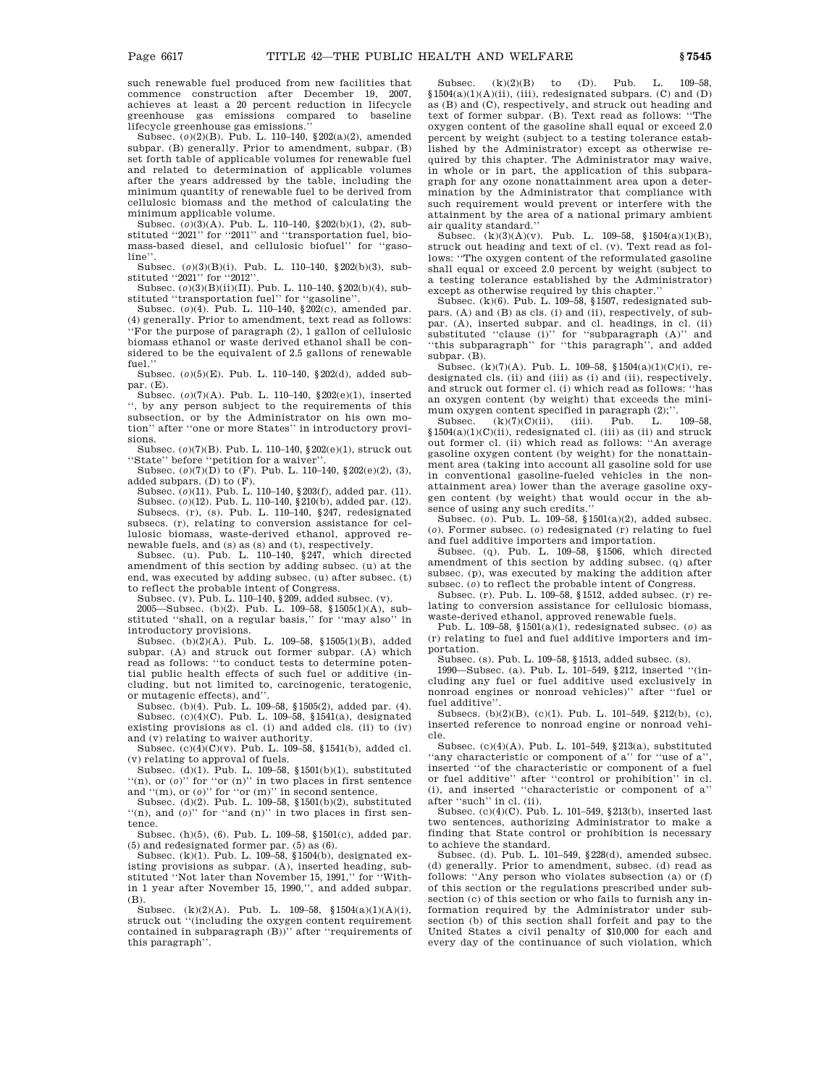such renewable fuel produced from new facilities that commence construction after December 19, 2007, achieves at least a 20 percent reduction in lifecycle greenhouse gas emissions compared to baseline lifecycle greenhouse gas emissions.''

Subsec. (*o*)(2)(B). Pub. L. 110–140, §202(a)(2), amended subpar. (B) generally. Prior to amendment, subpar. (B) set forth table of applicable volumes for renewable fuel and related to determination of applicable volumes after the years addressed by the table, including the minimum quantity of renewable fuel to be derived from cellulosic biomass and the method of calculating the minimum applicable volume.

Subsec. ( $o(3)(A)$ . Pub. L. 110–140, §202(b)(1), (2), substituted "2021" for "2011" and "transportation fuel, biomass-based diesel, and cellulosic biofuel'' for ''gasoline''.

Subsec. (*o*)(3)(B)(i). Pub. L. 110–140, §202(b)(3), sub-

stituted ''2021'' for ''2012''. Subsec. (*o*)(3)(B)(ii)(II). Pub. L. 110–140, §202(b)(4), substituted ''transportation fuel'' for ''gasoline''.

Subsec. (*o*)(4). Pub. L. 110–140, §202(c), amended par. (4) generally. Prior to amendment, text read as follows: ''For the purpose of paragraph (2), 1 gallon of cellulosic biomass ethanol or waste derived ethanol shall be considered to be the equivalent of 2.5 gallons of renewable fuel.''

Subsec. (*o*)(5)(E). Pub. L. 110–140, §202(d), added subpar. (E).

Subsec. (*o*)(7)(A). Pub. L. 110–140, §202(e)(1), inserted '', by any person subject to the requirements of this subsection, or by the Administrator on his own motion'' after ''one or more States'' in introductory provisions.

Subsec. (*o*)(7)(B). Pub. L. 110–140, §202(e)(1), struck out ''State'' before ''petition for a waiver''.

Subsec.  $(0)(7)(D)$  to  $(F)$ . Pub. L. 110–140, §202 $(e)(2)$ ,  $(3)$ , added subpars. (D) to (F).

Subsec. (*o*)(11). Pub. L. 110–140, §203(f), added par. (11). Subsec. (*o*)(12). Pub. L. 110–140, §210(b), added par. (12). Subsecs. (r), (s). Pub. L. 110–140, §247, redesignated subsecs. (r), relating to conversion assistance for cellulosic biomass, waste-derived ethanol, approved re-

newable fuels, and (s) as (s) and (t), respectively. Subsec. (u). Pub. L. 110–140, §247, which directed amendment of this section by adding subsec. (u) at the end, was executed by adding subsec. (u) after subsec. (t) to reflect the probable intent of Congress. Subsec. (v). Pub. L. 110–140, §209, added subsec. (v).

 $2005$ —Subsec. (b)(2). Pub. L. 109–58, §1505(1)(A), substituted "shall, on a regular basis," for "may also" in introductory provisions.

Subsec. (b)(2)(A). Pub. L. 109–58, §1505(1)(B), added subpar. (A) and struck out former subpar. (A) which read as follows: ''to conduct tests to determine potential public health effects of such fuel or additive (including, but not limited to, carcinogenic, teratogenic, or mutagenic effects), and''.

Subsec. (b)(4). Pub. L. 109–58, §1505(2), added par. (4). Subsec. (c)(4)(C). Pub. L. 109–58, §1541(a), designated existing provisions as cl. (i) and added cls. (ii) to (iv) and (v) relating to waiver authority.

Subsec.  $(c)(4)(C)(v)$ . Pub. L. 109-58, §1541(b), added cl. (v) relating to approval of fuels.

Subsec. (d)(1). Pub. L. 109–58, §1501(b)(1), substituted ''(n), or (*o*)'' for ''or (n)'' in two places in first sentence and ''(m), or (*o*)'' for ''or (m)'' in second sentence.

Subsec. (d)(2). Pub. L. 109–58, §1501(b)(2), substituted "(n), and (o)" for "and (n)" in two places in first sentence.

Subsec. (h)(5), (6). Pub. L. 109–58, §1501(c), added par.

(5) and redesignated former par. (5) as  $(6)$ .<br>Subsec. (k)(1). Pub. L. 109–58, §1504(b), designated existing provisions as subpar. (A), inserted heading, substituted ''Not later than November 15, 1991,'' for ''Within 1 year after November 15, 1990,'', and added subpar. (B).

Subsec.  $(k)(2)(A)$ . Pub. L. 109–58,  $$1504(a)(1)(A)(i)$ . struck out ''(including the oxygen content requirement contained in subparagraph (B))'' after ''requirements of this paragraph''.

Subsec. (k)(2)(B) to (D). Pub. L. 109–58, §1504(a)(1)(A)(ii), (iii), redesignated subpars. (C) and (D) as  $(B)$  and  $(C)$ , respectively, and struck out heading and text of former subpar.  $(B)$ . Text read as follows: "The text of former subpar. (B). Text read as follows: ' oxygen content of the gasoline shall equal or exceed 2.0 percent by weight (subject to a testing tolerance established by the Administrator) except as otherwise required by this chapter. The Administrator may waive, in whole or in part, the application of this subparagraph for any ozone nonattainment area upon a determination by the Administrator that compliance with such requirement would prevent or interfere with the attainment by the area of a national primary ambient air quality standard.''

Subsec. (k)(3)(A)(v). Pub. L. 109-58, §1504(a)(1)(B), struck out heading and text of cl. (v). Text read as follows: ''The oxygen content of the reformulated gasoline shall equal or exceed 2.0 percent by weight (subject to a testing tolerance established by the Administrator) except as otherwise required by this chapter.'

Subsec. (k)(6). Pub. L. 109–58, §1507, redesignated subpars. (A) and (B) as cls. (i) and (ii), respectively, of subpar. (A), inserted subpar. and cl. headings, in cl. (ii) substituted "clause (i)" for "subparagraph (A)" and ''this subparagraph'' for ''this paragraph'', and added subpar. (B).

Subsec.  $(k)(7)(A)$ . Pub. L. 109–58, §1504(a)(1)(C)(i), redesignated cls. (ii) and (iii) as (i) and (ii), respectively, and struck out former cl. (i) which read as follows: ''has an oxygen content (by weight) that exceeds the minimum oxygen content specified in paragraph  $(2)$ ;".<br>Subsec.  $(k)(7)(C)(i)$ .  $(iii)$ . Pub. L. 109-58.

Subsec.  $(k)(7)(C)(ii)$ , (iii). Pub. L.  $§1504(a)(1)(C)(ii)$ , redesignated cl. (iii) as (ii) and struck out former cl. (ii) which read as follows: ''An average gasoline oxygen content (by weight) for the nonattainment area (taking into account all gasoline sold for use in conventional gasoline-fueled vehicles in the nonattainment area) lower than the average gasoline oxygen content (by weight) that would occur in the absence of using any such credits.''

Subsec. (*o*). Pub. L. 109–58, §1501(a)(2), added subsec. (*o*). Former subsec. (*o*) redesignated (r) relating to fuel and fuel additive importers and importation.

Subsec. (q). Pub. L. 109–58, §1506, which directed amendment of this section by adding subsec. (q) after subsec. (p), was executed by making the addition after subsec. (*o*) to reflect the probable intent of Congress.

Subsec. (r). Pub. L. 109–58, §1512, added subsec. (r) relating to conversion assistance for cellulosic biomass, waste-derived ethanol, approved renewable fuels.

Pub. L. 109–58, §1501(a)(1), redesignated subsec. (*o*) as (r) relating to fuel and fuel additive importers and importation.

Subsec. (s). Pub. L. 109–58, §1513, added subsec. (s). 1990—Subsec. (a). Pub. L. 101–549, §212, inserted ''(in-

cluding any fuel or fuel additive used exclusively in nonroad engines or nonroad vehicles)'' after ''fuel or fuel additive'

Subsecs. (b)(2)(B), (c)(1). Pub. L. 101–549, §212(b), (c), inserted reference to nonroad engine or nonroad vehicle.

Subsec. (c)(4)(A). Pub. L. 101–549, §213(a), substituted "any characteristic or component of a" for "use of a", inserted ''of the characteristic or component of a fuel or fuel additive'' after ''control or prohibition'' in cl. (i), and inserted ''characteristic or component of a'' after ''such'' in cl. (ii).

Subsec. (c)(4)(C). Pub. L. 101–549, §213(b), inserted last two sentences, authorizing Administrator to make a finding that State control or prohibition is necessary to achieve the standard.

Subsec. (d). Pub. L. 101–549, §228(d), amended subsec. (d) generally. Prior to amendment, subsec. (d) read as follows: ''Any person who violates subsection (a) or (f) of this section or the regulations prescribed under subsection (c) of this section or who fails to furnish any information required by the Administrator under subsection (b) of this section shall forfeit and pay to the United States a civil penalty of \$10,000 for each and every day of the continuance of such violation, which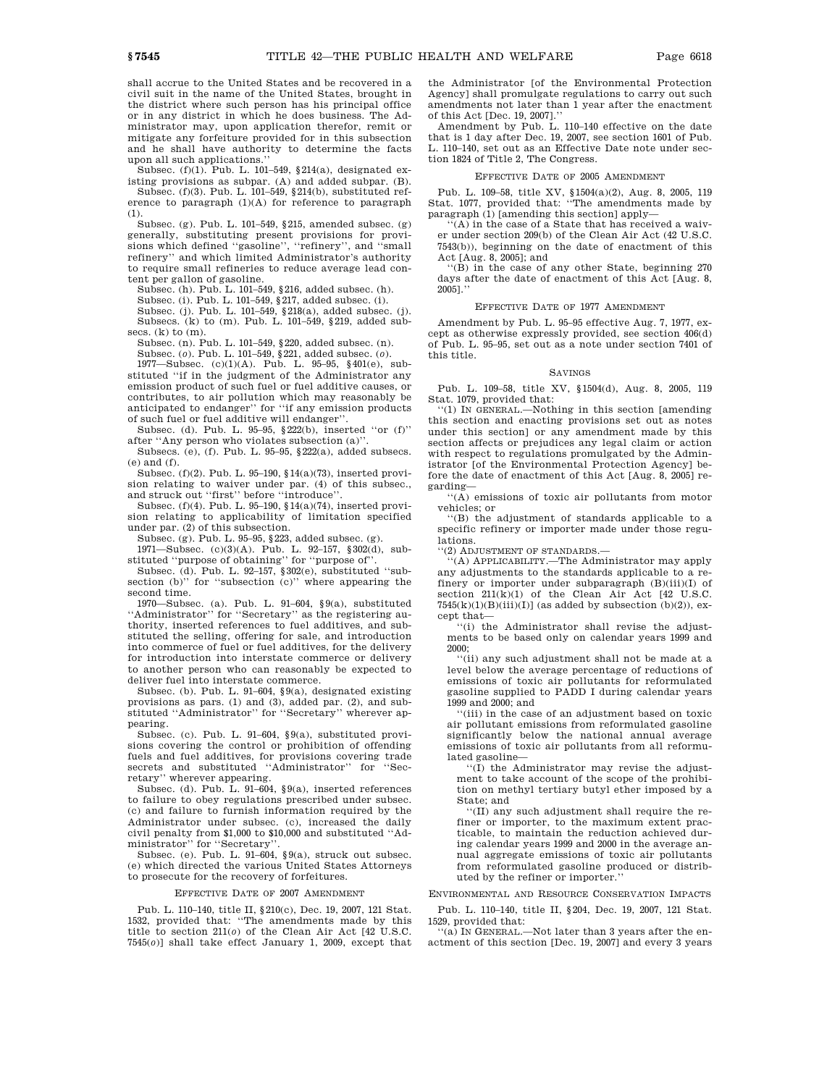shall accrue to the United States and be recovered in a civil suit in the name of the United States, brought in the district where such person has his principal office or in any district in which he does business. The Administrator may, upon application therefor, remit or mitigate any forfeiture provided for in this subsection and he shall have authority to determine the facts upon all such applications.''

Subsec. (f)(1). Pub. L. 101–549, §214(a), designated existing provisions as subpar. (A) and added subpar. (B).

Subsec. (f)(3). Pub. L. 101–549, §214(b), substituted reference to paragraph (1)(A) for reference to paragraph (1).

Subsec. (g). Pub. L. 101–549, §215, amended subsec. (g) generally, substituting present provisions for provisions which defined "gasoline", "refinery", and "small refinery'' and which limited Administrator's authority to require small refineries to reduce average lead content per gallon of gasoline.

Subsec. (h). Pub. L. 101–549, §216, added subsec. (h).

Subsec. (i). Pub. L. 101–549, §217, added subsec. (i).

Subsec. (j). Pub. L. 101–549, §218(a), added subsec. (j). Subsecs. (k) to (m). Pub. L. 101–549, §219, added subsecs. (k) to (m).

Subsec. (n). Pub. L. 101–549, §220, added subsec. (n). Subsec. (*o*). Pub. L. 101–549, §221, added subsec. (*o*).

1977—Subsec. (c)(1)(A). Pub. L. 95–95, §401(e), substituted ''if in the judgment of the Administrator any emission product of such fuel or fuel additive causes, or contributes, to air pollution which may reasonably be anticipated to endanger'' for ''if any emission products of such fuel or fuel additive will endanger''.

Subsec. (d). Pub. L. 95–95, §222(b), inserted ''or (f)'' after ''Any person who violates subsection (a)''.

Subsecs. (e), (f). Pub. L. 95–95, §222(a), added subsecs. (e) and (f).

Subsec. (f)(2). Pub. L. 95–190, §14(a)(73), inserted provision relating to waiver under par. (4) of this subsec., and struck out ''first'' before ''introduce''.

Subsec. (f)(4). Pub. L. 95–190, §14(a)(74), inserted provision relating to applicability of limitation specified under par. (2) of this subsection.

Subsec. (g). Pub. L. 95–95, §223, added subsec. (g).

1971—Subsec. (c)(3)(A). Pub. L. 92–157, §302(d), substituted ''purpose of obtaining'' for ''purpose of''.

Subsec. (d). Pub. L. 92–157, §302(e), substituted ''subsection (b)'' for ''subsection (c)'' where appearing the second time.

1970—Subsec. (a). Pub. L. 91–604, §9(a), substituted ''Administrator'' for ''Secretary'' as the registering authority, inserted references to fuel additives, and substituted the selling, offering for sale, and introduction into commerce of fuel or fuel additives, for the delivery for introduction into interstate commerce or delivery to another person who can reasonably be expected to deliver fuel into interstate commerce.

Subsec. (b). Pub. L. 91–604, §9(a), designated existing provisions as pars. (1) and (3), added par. (2), and substituted ''Administrator'' for ''Secretary'' wherever appearing.

Subsec. (c). Pub. L. 91–604, §9(a), substituted provisions covering the control or prohibition of offending fuels and fuel additives, for provisions covering trade secrets and substituted ''Administrator'' for ''Secretary'' wherever appearing.

Subsec. (d). Pub. L. 91–604, §9(a), inserted references to failure to obey regulations prescribed under subsec. (c) and failure to furnish information required by the Administrator under subsec. (c), increased the daily civil penalty from \$1,000 to \$10,000 and substituted ''Administrator" for "Secretary"

Subsec. (e). Pub. L. 91–604, §9(a), struck out subsec. (e) which directed the various United States Attorneys to prosecute for the recovery of forfeitures.

#### EFFECTIVE DATE OF 2007 AMENDMENT

Pub. L. 110–140, title II, §210(c), Dec. 19, 2007, 121 Stat. 1532, provided that: ''The amendments made by this title to section 211(*o*) of the Clean Air Act [42 U.S.C. 7545(*o*)] shall take effect January 1, 2009, except that the Administrator [of the Environmental Protection Agency] shall promulgate regulations to carry out such amendments not later than 1 year after the enactment of this Act [Dec. 19, 2007].''

Amendment by Pub. L. 110–140 effective on the date that is 1 day after Dec. 19, 2007, see section 1601 of Pub. L. 110–140, set out as an Effective Date note under section 1824 of Title 2, The Congress.

#### EFFECTIVE DATE OF 2005 AMENDMENT

Pub. L. 109–58, title XV, §1504(a)(2), Aug. 8, 2005, 119 Stat. 1077, provided that: ''The amendments made by paragraph (1) [amending this section] apply—

 $\widetilde{f}(A)$  in the case of a State that has received a waiver under section 209(b) of the Clean Air Act (42 U.S.C. 7543(b)), beginning on the date of enactment of this Act [Aug. 8, 2005]; and

''(B) in the case of any other State, beginning 270 days after the date of enactment of this Act [Aug. 8, 2005].''

#### EFFECTIVE DATE OF 1977 AMENDMENT

Amendment by Pub. L. 95–95 effective Aug. 7, 1977, except as otherwise expressly provided, see section 406(d) of Pub. L. 95–95, set out as a note under section 7401 of this title.

#### SAVINGS

Pub. L. 109–58, title XV, §1504(d), Aug. 8, 2005, 119 Stat. 1079, provided that:

''(1) IN GENERAL.—Nothing in this section [amending this section and enacting provisions set out as notes under this section] or any amendment made by this section affects or prejudices any legal claim or action with respect to regulations promulgated by the Administrator [of the Environmental Protection Agency] before the date of enactment of this Act [Aug. 8, 2005] regarding—

''(A) emissions of toxic air pollutants from motor vehicles; or

''(B) the adjustment of standards applicable to a specific refinery or importer made under those regulations.

''(2) ADJUSTMENT OF STANDARDS.—

''(A) APPLICABILITY.—The Administrator may apply any adjustments to the standards applicable to a refinery or importer under subparagraph (B)(iii)(I) of section  $211(k)(1)$  of the Clean Air Act  $[42 \tU.S.C.]$  $7545(k)(1)(B)(iii)(I)$  (as added by subsection  $(b)(2)$ ), except that—

''(i) the Administrator shall revise the adjustments to be based only on calendar years 1999 and 2000;

''(ii) any such adjustment shall not be made at a level below the average percentage of reductions of emissions of toxic air pollutants for reformulated gasoline supplied to PADD I during calendar years 1999 and 2000; and

''(iii) in the case of an adjustment based on toxic air pollutant emissions from reformulated gasoline significantly below the national annual average emissions of toxic air pollutants from all reformulated gasoline—

 $\sqrt{\text{I}}$  the Administrator may revise the adjustment to take account of the scope of the prohibition on methyl tertiary butyl ether imposed by a State; and

''(II) any such adjustment shall require the refiner or importer, to the maximum extent practicable, to maintain the reduction achieved during calendar years 1999 and 2000 in the average annual aggregate emissions of toxic air pollutants from reformulated gasoline produced or distributed by the refiner or importer.

# ENVIRONMENTAL AND RESOURCE CONSERVATION IMPACTS

Pub. L. 110–140, title II, §204, Dec. 19, 2007, 121 Stat. 1529, provided that:

''(a) IN GENERAL.—Not later than 3 years after the enactment of this section [Dec. 19, 2007] and every 3 years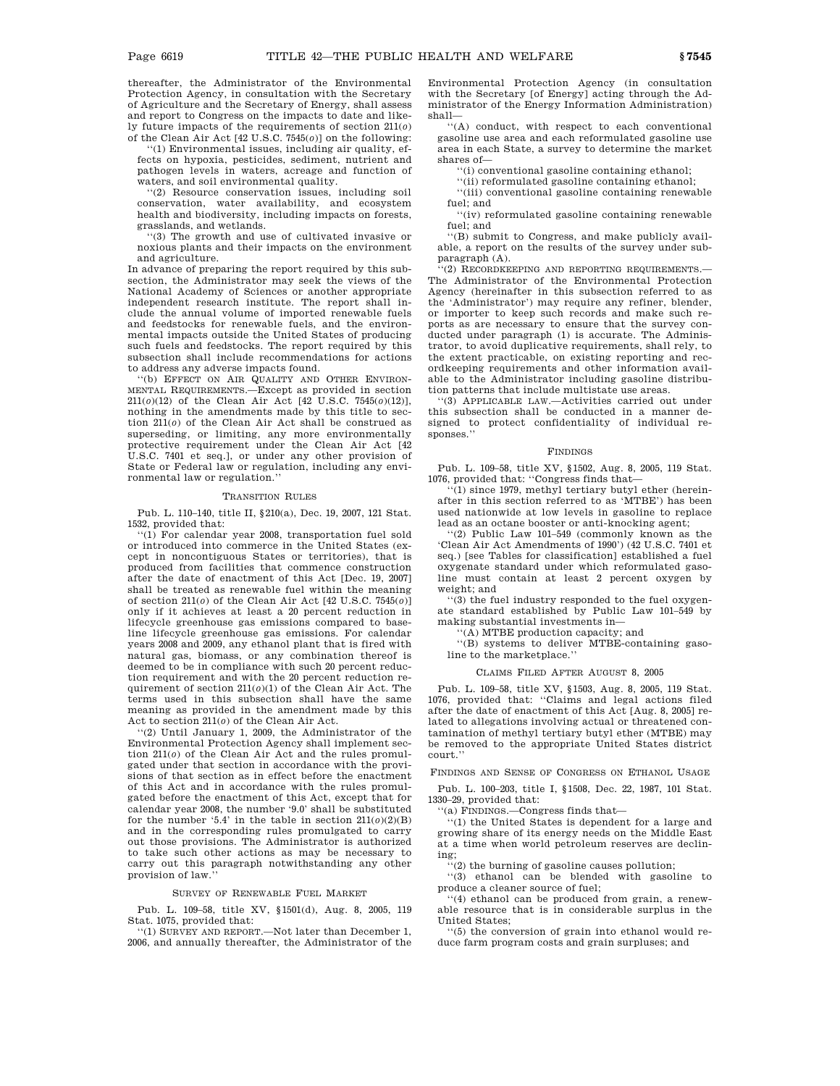thereafter, the Administrator of the Environmental Protection Agency, in consultation with the Secretary of Agriculture and the Secretary of Energy, shall assess and report to Congress on the impacts to date and likely future impacts of the requirements of section 211(*o*) of the Clean Air Act [42 U.S.C. 7545(*o*)] on the following:

''(1) Environmental issues, including air quality, effects on hypoxia, pesticides, sediment, nutrient and pathogen levels in waters, acreage and function of waters, and soil environmental quality.

''(2) Resource conservation issues, including soil conservation, water availability, and ecosystem health and biodiversity, including impacts on forests, grasslands, and wetlands.

''(3) The growth and use of cultivated invasive or noxious plants and their impacts on the environment and agriculture.

In advance of preparing the report required by this subsection, the Administrator may seek the views of the National Academy of Sciences or another appropriate independent research institute. The report shall include the annual volume of imported renewable fuels and feedstocks for renewable fuels, and the environmental impacts outside the United States of producing such fuels and feedstocks. The report required by this subsection shall include recommendations for actions to address any adverse impacts found.

''(b) EFFECT ON AIR QUALITY AND OTHER ENVIRON-MENTAL REQUIREMENTS.—Except as provided in section 211(*o*)(12) of the Clean Air Act [42 U.S.C. 7545(*o*)(12)], nothing in the amendments made by this title to section 211(*o*) of the Clean Air Act shall be construed as superseding, or limiting, any more environmentally protective requirement under the Clean Air Act [42 U.S.C. 7401 et seq.], or under any other provision of State or Federal law or regulation, including any environmental law or regulation.''

#### TRANSITION RULES

Pub. L. 110–140, title II, §210(a), Dec. 19, 2007, 121 Stat. 1532, provided that:

''(1) For calendar year 2008, transportation fuel sold or introduced into commerce in the United States (except in noncontiguous States or territories), that is produced from facilities that commence construction after the date of enactment of this Act [Dec. 19, 2007] shall be treated as renewable fuel within the meaning of section 211(*o*) of the Clean Air Act [42 U.S.C. 7545(*o*)] only if it achieves at least a 20 percent reduction in lifecycle greenhouse gas emissions compared to baseline lifecycle greenhouse gas emissions. For calendar years 2008 and 2009, any ethanol plant that is fired with natural gas, biomass, or any combination thereof is deemed to be in compliance with such 20 percent reduction requirement and with the 20 percent reduction requirement of section 211(*o*)(1) of the Clean Air Act. The terms used in this subsection shall have the same meaning as provided in the amendment made by this Act to section 211(*o*) of the Clean Air Act.

''(2) Until January 1, 2009, the Administrator of the Environmental Protection Agency shall implement section 211(*o*) of the Clean Air Act and the rules promulgated under that section in accordance with the provisions of that section as in effect before the enactment of this Act and in accordance with the rules promulgated before the enactment of this Act, except that for calendar year 2008, the number '9.0' shall be substituted for the number '5.4' in the table in section  $211(o)(2)(B)$ and in the corresponding rules promulgated to carry out those provisions. The Administrator is authorized to take such other actions as may be necessary to carry out this paragraph notwithstanding any other provision of law.''

#### SURVEY OF RENEWABLE FUEL MARKET

Pub. L. 109–58, title XV, §1501(d), Aug. 8, 2005, 119 Stat. 1075, provided that:

''(1) SURVEY AND REPORT.—Not later than December 1, 2006, and annually thereafter, the Administrator of the Environmental Protection Agency (in consultation with the Secretary [of Energy] acting through the Administrator of the Energy Information Administration) shall—

''(A) conduct, with respect to each conventional gasoline use area and each reformulated gasoline use area in each State, a survey to determine the market shares of—

''(i) conventional gasoline containing ethanol;

''(ii) reformulated gasoline containing ethanol;

''(iii) conventional gasoline containing renewable fuel; and

''(iv) reformulated gasoline containing renewable fuel; and

''(B) submit to Congress, and make publicly available, a report on the results of the survey under subparagraph (A).

''(2) RECORDKEEPING AND REPORTING REQUIREMENTS.— The Administrator of the Environmental Protection Agency (hereinafter in this subsection referred to as the 'Administrator') may require any refiner, blender, or importer to keep such records and make such reports as are necessary to ensure that the survey conducted under paragraph (1) is accurate. The Administrator, to avoid duplicative requirements, shall rely, to the extent practicable, on existing reporting and recordkeeping requirements and other information available to the Administrator including gasoline distribution patterns that include multistate use areas.

''(3) APPLICABLE LAW.—Activities carried out under this subsection shall be conducted in a manner designed to protect confidentiality of individual responses.''

#### FINDINGS

Pub. L. 109–58, title XV, §1502, Aug. 8, 2005, 119 Stat. 1076, provided that: ''Congress finds that—

'(1) since 1979, methyl tertiary butyl ether (hereinafter in this section referred to as 'MTBE') has been used nationwide at low levels in gasoline to replace lead as an octane booster or anti-knocking agent;

''(2) Public Law 101–549 (commonly known as the 'Clean Air Act Amendments of 1990') (42 U.S.C. 7401 et seq.) [see Tables for classification] established a fuel oxygenate standard under which reformulated gasoline must contain at least 2 percent oxygen by weight; and

''(3) the fuel industry responded to the fuel oxygenate standard established by Public Law 101–549 by making substantial investments in—

''(A) MTBE production capacity; and

''(B) systems to deliver MTBE-containing gasoline to the marketplace.''

#### CLAIMS FILED AFTER AUGUST 8, 2005

Pub. L. 109–58, title XV, §1503, Aug. 8, 2005, 119 Stat. 1076, provided that: ''Claims and legal actions filed after the date of enactment of this Act [Aug. 8, 2005] related to allegations involving actual or threatened contamination of methyl tertiary butyl ether (MTBE) may be removed to the appropriate United States district court.''

FINDINGS AND SENSE OF CONGRESS ON ETHANOL USAGE

Pub. L. 100–203, title I, §1508, Dec. 22, 1987, 101 Stat. 1330–29, provided that:

''(a) FINDINGS.—Congress finds that—

''(1) the United States is dependent for a large and growing share of its energy needs on the Middle East at a time when world petroleum reserves are declining;

 $\tilde{f}(2)$  the burning of gasoline causes pollution;

''(3) ethanol can be blended with gasoline to produce a cleaner source of fuel;

''(4) ethanol can be produced from grain, a renewable resource that is in considerable surplus in the United States;

''(5) the conversion of grain into ethanol would reduce farm program costs and grain surpluses; and